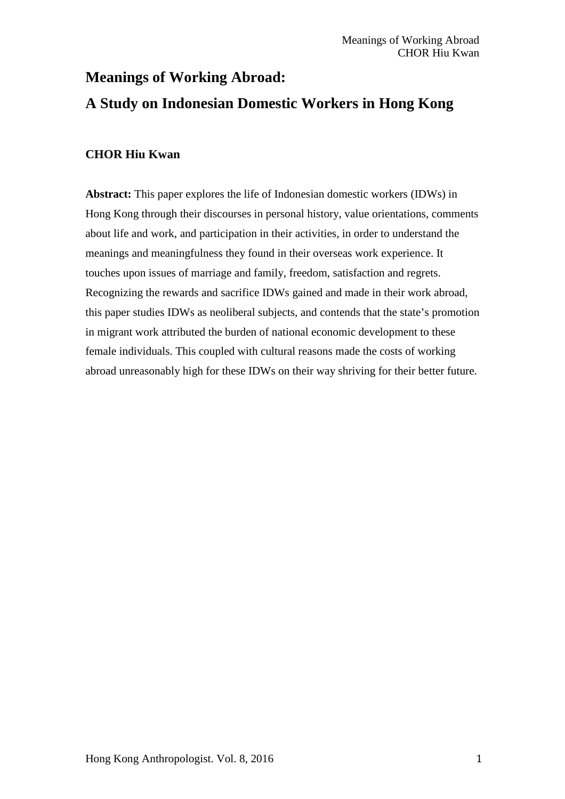# **Meanings of Working Abroad: A Study on Indonesian Domestic Workers in Hong Kong**

# **CHOR Hiu Kwan**

**Abstract:** This paper explores the life of Indonesian domestic workers (IDWs) in Hong Kong through their discourses in personal history, value orientations, comments about life and work, and participation in their activities, in order to understand the meanings and meaningfulness they found in their overseas work experience. It touches upon issues of marriage and family, freedom, satisfaction and regrets. Recognizing the rewards and sacrifice IDWs gained and made in their work abroad, this paper studies IDWs as neoliberal subjects, and contends that the state's promotion in migrant work attributed the burden of national economic development to these female individuals. This coupled with cultural reasons made the costs of working abroad unreasonably high for these IDWs on their way shriving for their better future.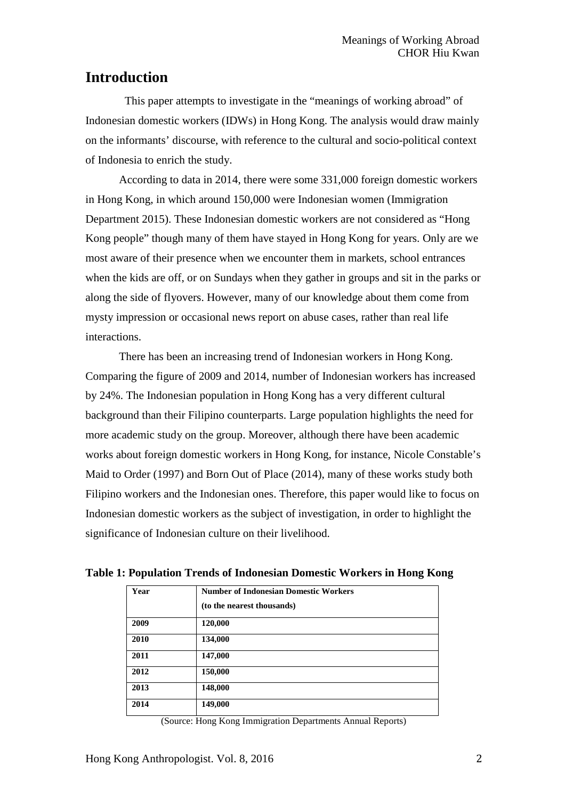# **Introduction**

This paper attempts to investigate in the "meanings of working abroad" of Indonesian domestic workers (IDWs) in Hong Kong. The analysis would draw mainly on the informants' discourse, with reference to the cultural and socio-political context of Indonesia to enrich the study.

According to data in 2014, there were some 331,000 foreign domestic workers in Hong Kong, in which around 150,000 were Indonesian women (Immigration Department 2015). These Indonesian domestic workers are not considered as "Hong Kong people" though many of them have stayed in Hong Kong for years. Only are we most aware of their presence when we encounter them in markets, school entrances when the kids are off, or on Sundays when they gather in groups and sit in the parks or along the side of flyovers. However, many of our knowledge about them come from mysty impression or occasional news report on abuse cases, rather than real life interactions.

There has been an increasing trend of Indonesian workers in Hong Kong. Comparing the figure of 2009 and 2014, number of Indonesian workers has increased by 24%. The Indonesian population in Hong Kong has a very different cultural background than their Filipino counterparts. Large population highlights the need for more academic study on the group. Moreover, although there have been academic works about foreign domestic workers in Hong Kong, for instance, Nicole Constable's Maid to Order (1997) and Born Out of Place (2014), many of these works study both Filipino workers and the Indonesian ones. Therefore, this paper would like to focus on Indonesian domestic workers as the subject of investigation, in order to highlight the significance of Indonesian culture on their livelihood.

| Year | <b>Number of Indonesian Domestic Workers</b> |  |  |  |  |
|------|----------------------------------------------|--|--|--|--|
|      | (to the nearest thousands)                   |  |  |  |  |
| 2009 | 120,000                                      |  |  |  |  |
| 2010 | 134,000                                      |  |  |  |  |
| 2011 | 147,000                                      |  |  |  |  |
| 2012 | 150,000                                      |  |  |  |  |
| 2013 | 148,000                                      |  |  |  |  |
| 2014 | 149,000                                      |  |  |  |  |

**Table 1: Population Trends of Indonesian Domestic Workers in Hong Kong**

(Source: Hong Kong Immigration Departments Annual Reports)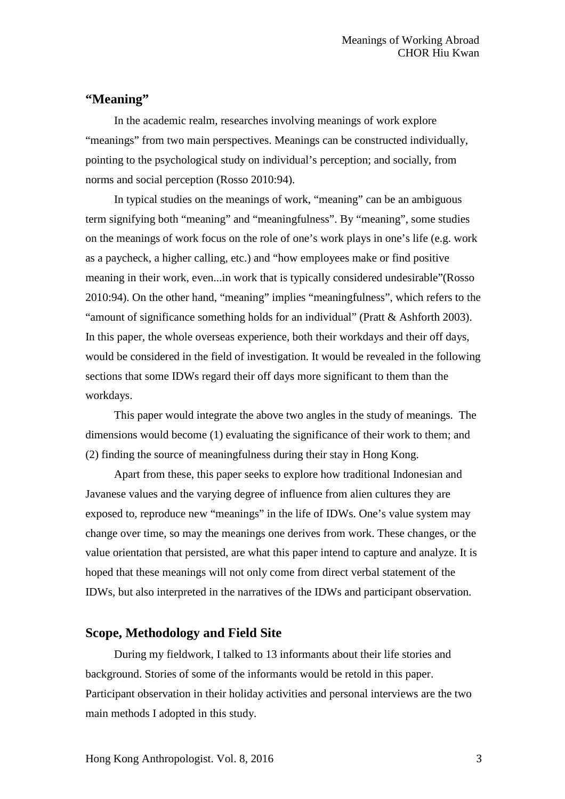# **"Meaning"**

In the academic realm, researches involving meanings of work explore "meanings" from two main perspectives. Meanings can be constructed individually, pointing to the psychological study on individual's perception; and socially, from norms and social perception (Rosso 2010:94).

In typical studies on the meanings of work, "meaning" can be an ambiguous term signifying both "meaning" and "meaningfulness". By "meaning", some studies on the meanings of work focus on the role of one's work plays in one's life (e.g. work as a paycheck, a higher calling, etc.) and "how employees make or find positive meaning in their work, even...in work that is typically considered undesirable"(Rosso 2010:94). On the other hand, "meaning" implies "meaningfulness", which refers to the "amount of significance something holds for an individual" (Pratt & Ashforth 2003). In this paper, the whole overseas experience, both their workdays and their off days, would be considered in the field of investigation. It would be revealed in the following sections that some IDWs regard their off days more significant to them than the workdays.

This paper would integrate the above two angles in the study of meanings. The dimensions would become (1) evaluating the significance of their work to them; and (2) finding the source of meaningfulness during their stay in Hong Kong.

Apart from these, this paper seeks to explore how traditional Indonesian and Javanese values and the varying degree of influence from alien cultures they are exposed to, reproduce new "meanings" in the life of IDWs. One's value system may change over time, so may the meanings one derives from work. These changes, or the value orientation that persisted, are what this paper intend to capture and analyze. It is hoped that these meanings will not only come from direct verbal statement of the IDWs, but also interpreted in the narratives of the IDWs and participant observation.

# **Scope, Methodology and Field Site**

During my fieldwork, I talked to 13 informants about their life stories and background. Stories of some of the informants would be retold in this paper. Participant observation in their holiday activities and personal interviews are the two main methods I adopted in this study.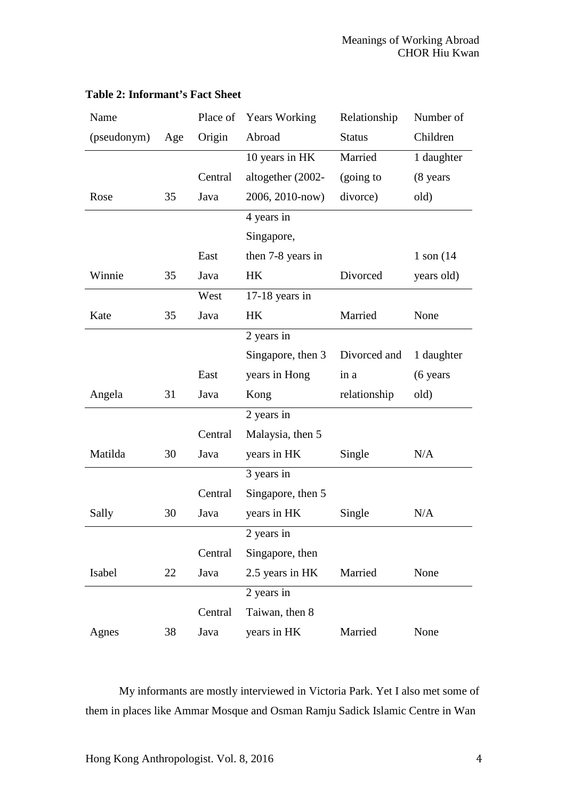| Name        |     | Place of | <b>Years Working</b> | Relationship  | Number of      |
|-------------|-----|----------|----------------------|---------------|----------------|
| (pseudonym) | Age | Origin   | Abroad               | <b>Status</b> | Children       |
|             |     |          | 10 years in HK       | Married       | 1 daughter     |
|             |     | Central  | altogether (2002-    | (going to     | (8 years       |
| Rose        | 35  | Java     | 2006, 2010-now)      | divorce)      | old)           |
|             |     |          | 4 years in           |               |                |
|             |     |          | Singapore,           |               |                |
|             |     | East     | then 7-8 years in    |               | $1$ son $(14)$ |
| Winnie      | 35  | Java     | <b>HK</b>            | Divorced      | years old)     |
|             |     | West     | 17-18 years in       |               |                |
| Kate        | 35  | Java     | HK                   | Married       | None           |
|             |     |          | 2 years in           |               |                |
|             |     |          | Singapore, then 3    | Divorced and  | 1 daughter     |
|             |     | East     | years in Hong        | in a          | $(6$ years     |
| Angela      | 31  | Java     | Kong                 | relationship  | old)           |
|             |     |          | 2 years in           |               |                |
|             |     | Central  | Malaysia, then 5     |               |                |
| Matilda     | 30  | Java     | years in HK          | Single        | N/A            |
|             |     |          | 3 years in           |               |                |
|             |     | Central  | Singapore, then 5    |               |                |
| Sally       | 30  | Java     | years in HK          | Single        | N/A            |
|             |     |          | 2 years in           |               |                |
|             |     | Central  | Singapore, then      |               |                |
| Isabel      | 22  | Java     | 2.5 years in HK      | Married       | None           |
|             |     |          | 2 years in           |               |                |
|             |     | Central  | Taiwan, then 8       |               |                |
| Agnes       | 38  | Java     | years in HK          | Married       | None           |

# **Table 2: Informant's Fact Sheet**

My informants are mostly interviewed in Victoria Park. Yet I also met some of them in places like Ammar Mosque and Osman Ramju Sadick Islamic Centre in Wan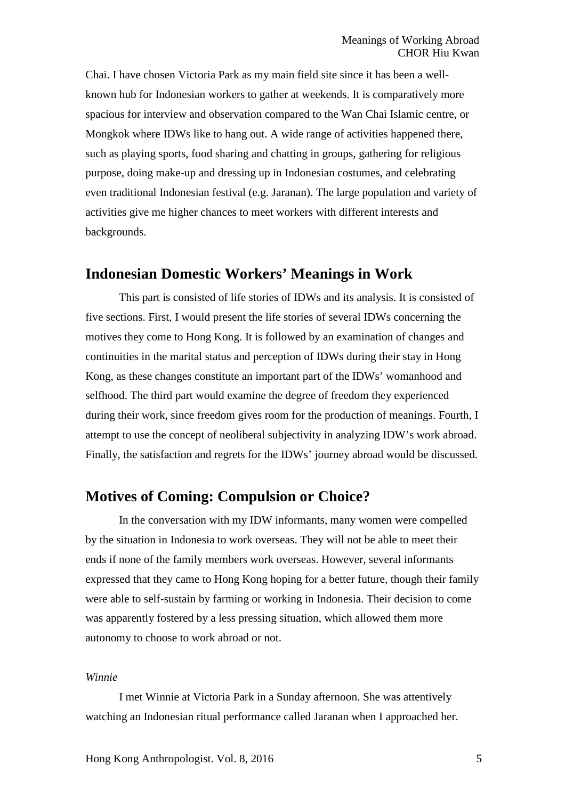Chai. I have chosen Victoria Park as my main field site since it has been a wellknown hub for Indonesian workers to gather at weekends. It is comparatively more spacious for interview and observation compared to the Wan Chai Islamic centre, or Mongkok where IDWs like to hang out. A wide range of activities happened there, such as playing sports, food sharing and chatting in groups, gathering for religious purpose, doing make-up and dressing up in Indonesian costumes, and celebrating even traditional Indonesian festival (e.g. Jaranan). The large population and variety of activities give me higher chances to meet workers with different interests and backgrounds.

# **Indonesian Domestic Workers' Meanings in Work**

This part is consisted of life stories of IDWs and its analysis. It is consisted of five sections. First, I would present the life stories of several IDWs concerning the motives they come to Hong Kong. It is followed by an examination of changes and continuities in the marital status and perception of IDWs during their stay in Hong Kong, as these changes constitute an important part of the IDWs' womanhood and selfhood. The third part would examine the degree of freedom they experienced during their work, since freedom gives room for the production of meanings. Fourth, I attempt to use the concept of neoliberal subjectivity in analyzing IDW's work abroad. Finally, the satisfaction and regrets for the IDWs' journey abroad would be discussed.

# **Motives of Coming: Compulsion or Choice?**

In the conversation with my IDW informants, many women were compelled by the situation in Indonesia to work overseas. They will not be able to meet their ends if none of the family members work overseas. However, several informants expressed that they came to Hong Kong hoping for a better future, though their family were able to self-sustain by farming or working in Indonesia. Their decision to come was apparently fostered by a less pressing situation, which allowed them more autonomy to choose to work abroad or not.

#### *Winnie*

I met Winnie at Victoria Park in a Sunday afternoon. She was attentively watching an Indonesian ritual performance called Jaranan when I approached her.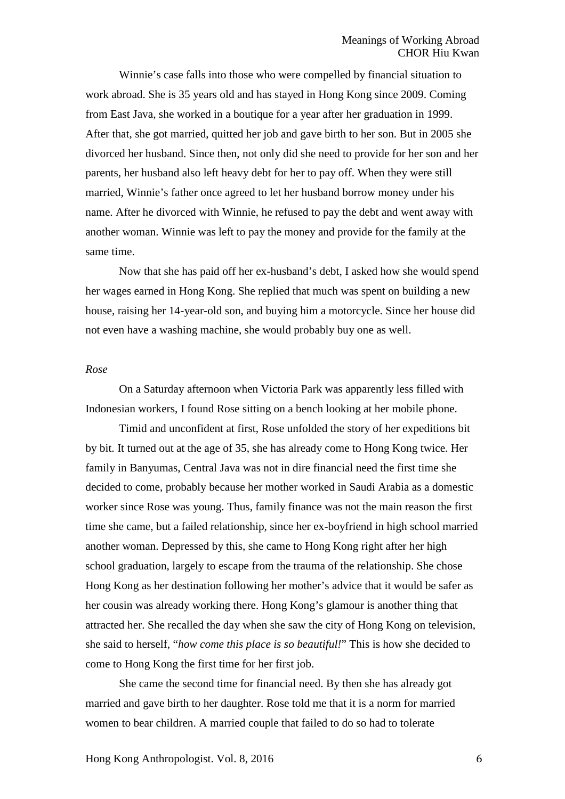Winnie's case falls into those who were compelled by financial situation to work abroad. She is 35 years old and has stayed in Hong Kong since 2009. Coming from East Java, she worked in a boutique for a year after her graduation in 1999. After that, she got married, quitted her job and gave birth to her son. But in 2005 she divorced her husband. Since then, not only did she need to provide for her son and her parents, her husband also left heavy debt for her to pay off. When they were still married, Winnie's father once agreed to let her husband borrow money under his name. After he divorced with Winnie, he refused to pay the debt and went away with another woman. Winnie was left to pay the money and provide for the family at the same time.

Now that she has paid off her ex-husband's debt, I asked how she would spend her wages earned in Hong Kong. She replied that much was spent on building a new house, raising her 14-year-old son, and buying him a motorcycle. Since her house did not even have a washing machine, she would probably buy one as well.

#### *Rose*

On a Saturday afternoon when Victoria Park was apparently less filled with Indonesian workers, I found Rose sitting on a bench looking at her mobile phone.

Timid and unconfident at first, Rose unfolded the story of her expeditions bit by bit. It turned out at the age of 35, she has already come to Hong Kong twice. Her family in Banyumas, Central Java was not in dire financial need the first time she decided to come, probably because her mother worked in Saudi Arabia as a domestic worker since Rose was young. Thus, family finance was not the main reason the first time she came, but a failed relationship, since her ex-boyfriend in high school married another woman. Depressed by this, she came to Hong Kong right after her high school graduation, largely to escape from the trauma of the relationship. She chose Hong Kong as her destination following her mother's advice that it would be safer as her cousin was already working there. Hong Kong's glamour is another thing that attracted her. She recalled the day when she saw the city of Hong Kong on television, she said to herself, "*how come this place is so beautiful!*" This is how she decided to come to Hong Kong the first time for her first job.

She came the second time for financial need. By then she has already got married and gave birth to her daughter. Rose told me that it is a norm for married women to bear children. A married couple that failed to do so had to tolerate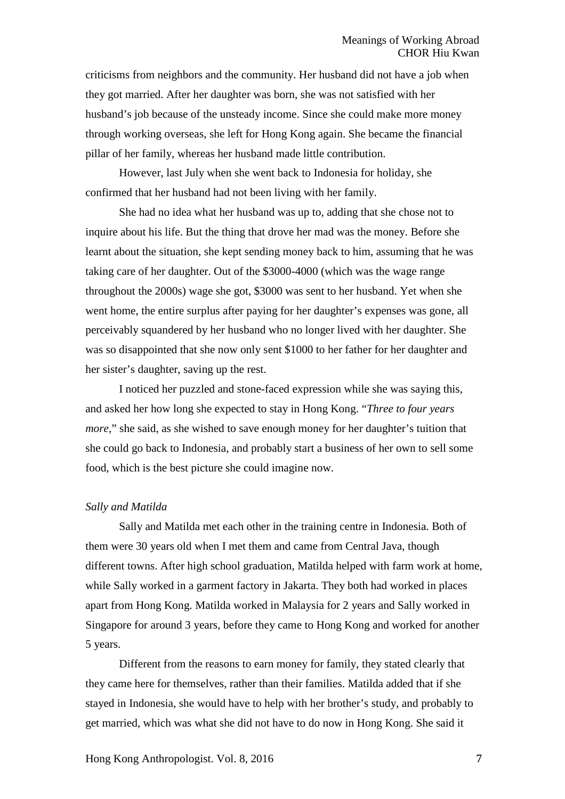criticisms from neighbors and the community. Her husband did not have a job when they got married. After her daughter was born, she was not satisfied with her husband's job because of the unsteady income. Since she could make more money through working overseas, she left for Hong Kong again. She became the financial pillar of her family, whereas her husband made little contribution.

However, last July when she went back to Indonesia for holiday, she confirmed that her husband had not been living with her family.

She had no idea what her husband was up to, adding that she chose not to inquire about his life. But the thing that drove her mad was the money. Before she learnt about the situation, she kept sending money back to him, assuming that he was taking care of her daughter. Out of the \$3000-4000 (which was the wage range throughout the 2000s) wage she got, \$3000 was sent to her husband. Yet when she went home, the entire surplus after paying for her daughter's expenses was gone, all perceivably squandered by her husband who no longer lived with her daughter. She was so disappointed that she now only sent \$1000 to her father for her daughter and her sister's daughter, saving up the rest.

I noticed her puzzled and stone-faced expression while she was saying this, and asked her how long she expected to stay in Hong Kong. "*Three to four years more,*" she said, as she wished to save enough money for her daughter's tuition that she could go back to Indonesia, and probably start a business of her own to sell some food, which is the best picture she could imagine now.

#### *Sally and Matilda*

Sally and Matilda met each other in the training centre in Indonesia. Both of them were 30 years old when I met them and came from Central Java, though different towns. After high school graduation, Matilda helped with farm work at home, while Sally worked in a garment factory in Jakarta. They both had worked in places apart from Hong Kong. Matilda worked in Malaysia for 2 years and Sally worked in Singapore for around 3 years, before they came to Hong Kong and worked for another 5 years.

Different from the reasons to earn money for family, they stated clearly that they came here for themselves, rather than their families. Matilda added that if she stayed in Indonesia, she would have to help with her brother's study, and probably to get married, which was what she did not have to do now in Hong Kong. She said it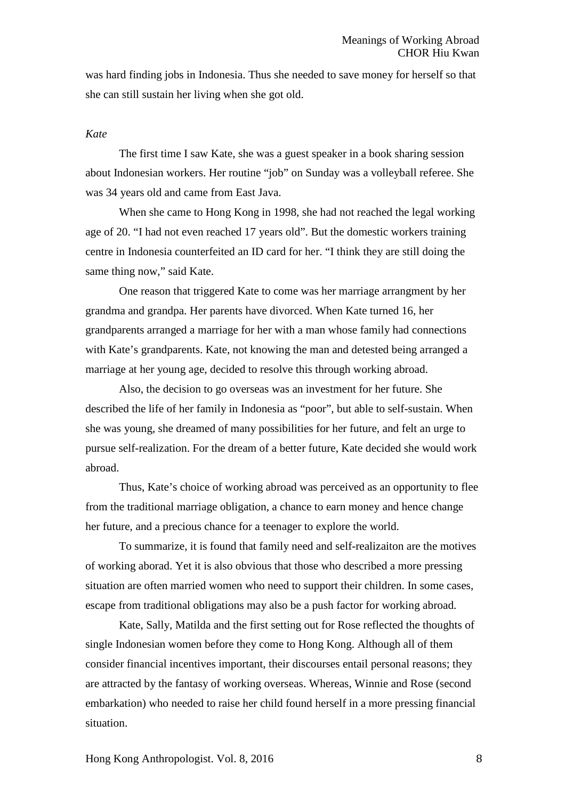was hard finding jobs in Indonesia. Thus she needed to save money for herself so that she can still sustain her living when she got old.

#### *Kate*

The first time I saw Kate, she was a guest speaker in a book sharing session about Indonesian workers. Her routine "job" on Sunday was a volleyball referee. She was 34 years old and came from East Java.

When she came to Hong Kong in 1998, she had not reached the legal working age of 20. "I had not even reached 17 years old". But the domestic workers training centre in Indonesia counterfeited an ID card for her. "I think they are still doing the same thing now," said Kate.

One reason that triggered Kate to come was her marriage arrangment by her grandma and grandpa. Her parents have divorced. When Kate turned 16, her grandparents arranged a marriage for her with a man whose family had connections with Kate's grandparents. Kate, not knowing the man and detested being arranged a marriage at her young age, decided to resolve this through working abroad.

Also, the decision to go overseas was an investment for her future. She described the life of her family in Indonesia as "poor", but able to self-sustain. When she was young, she dreamed of many possibilities for her future, and felt an urge to pursue self-realization. For the dream of a better future, Kate decided she would work abroad.

Thus, Kate's choice of working abroad was perceived as an opportunity to flee from the traditional marriage obligation, a chance to earn money and hence change her future, and a precious chance for a teenager to explore the world.

To summarize, it is found that family need and self-realizaiton are the motives of working aborad. Yet it is also obvious that those who described a more pressing situation are often married women who need to support their children. In some cases, escape from traditional obligations may also be a push factor for working abroad.

Kate, Sally, Matilda and the first setting out for Rose reflected the thoughts of single Indonesian women before they come to Hong Kong. Although all of them consider financial incentives important, their discourses entail personal reasons; they are attracted by the fantasy of working overseas. Whereas, Winnie and Rose (second embarkation) who needed to raise her child found herself in a more pressing financial situation.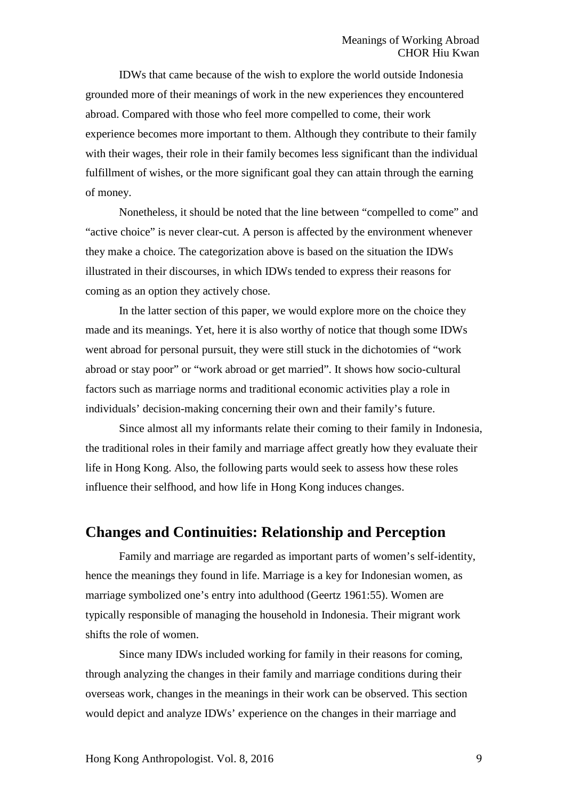IDWs that came because of the wish to explore the world outside Indonesia grounded more of their meanings of work in the new experiences they encountered abroad. Compared with those who feel more compelled to come, their work experience becomes more important to them. Although they contribute to their family with their wages, their role in their family becomes less significant than the individual fulfillment of wishes, or the more significant goal they can attain through the earning of money.

Nonetheless, it should be noted that the line between "compelled to come" and "active choice" is never clear-cut. A person is affected by the environment whenever they make a choice. The categorization above is based on the situation the IDWs illustrated in their discourses, in which IDWs tended to express their reasons for coming as an option they actively chose.

In the latter section of this paper, we would explore more on the choice they made and its meanings. Yet, here it is also worthy of notice that though some IDWs went abroad for personal pursuit, they were still stuck in the dichotomies of "work abroad or stay poor" or "work abroad or get married". It shows how socio-cultural factors such as marriage norms and traditional economic activities play a role in individuals' decision-making concerning their own and their family's future.

Since almost all my informants relate their coming to their family in Indonesia, the traditional roles in their family and marriage affect greatly how they evaluate their life in Hong Kong. Also, the following parts would seek to assess how these roles influence their selfhood, and how life in Hong Kong induces changes.

# **Changes and Continuities: Relationship and Perception**

Family and marriage are regarded as important parts of women's self-identity, hence the meanings they found in life. Marriage is a key for Indonesian women, as marriage symbolized one's entry into adulthood (Geertz 1961:55). Women are typically responsible of managing the household in Indonesia. Their migrant work shifts the role of women.

Since many IDWs included working for family in their reasons for coming, through analyzing the changes in their family and marriage conditions during their overseas work, changes in the meanings in their work can be observed. This section would depict and analyze IDWs' experience on the changes in their marriage and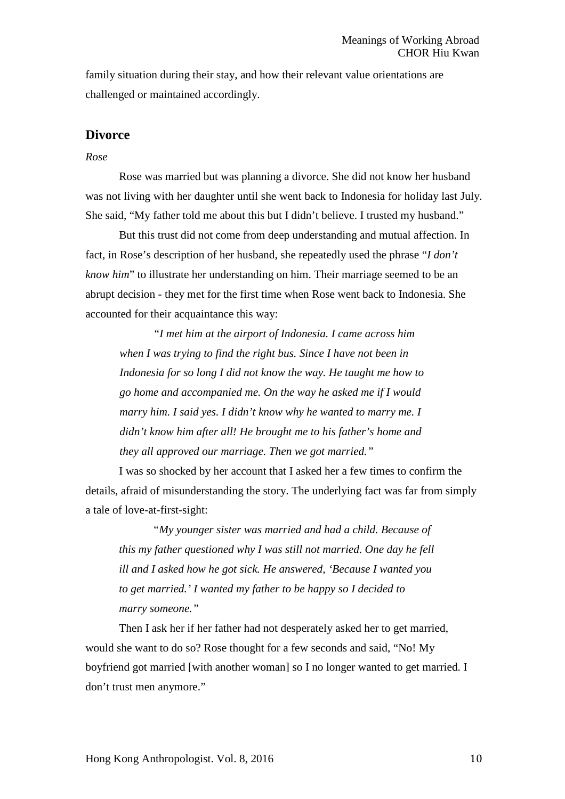family situation during their stay, and how their relevant value orientations are challenged or maintained accordingly.

# **Divorce**

#### *Rose*

Rose was married but was planning a divorce. She did not know her husband was not living with her daughter until she went back to Indonesia for holiday last July. She said, "My father told me about this but I didn't believe. I trusted my husband."

But this trust did not come from deep understanding and mutual affection. In fact, in Rose's description of her husband, she repeatedly used the phrase "*I don't know him*" to illustrate her understanding on him. Their marriage seemed to be an abrupt decision - they met for the first time when Rose went back to Indonesia. She accounted for their acquaintance this way:

*"I met him at the airport of Indonesia. I came across him when I was trying to find the right bus. Since I have not been in Indonesia for so long I did not know the way. He taught me how to go home and accompanied me. On the way he asked me if I would marry him. I said yes. I didn't know why he wanted to marry me. I didn't know him after all! He brought me to his father's home and they all approved our marriage. Then we got married."*

I was so shocked by her account that I asked her a few times to confirm the details, afraid of misunderstanding the story. The underlying fact was far from simply a tale of love-at-first-sight:

*"My younger sister was married and had a child. Because of this my father questioned why I was still not married. One day he fell ill and I asked how he got sick. He answered, 'Because I wanted you to get married.' I wanted my father to be happy so I decided to marry someone."*

Then I ask her if her father had not desperately asked her to get married, would she want to do so? Rose thought for a few seconds and said, "No! My boyfriend got married [with another woman] so I no longer wanted to get married. I don't trust men anymore."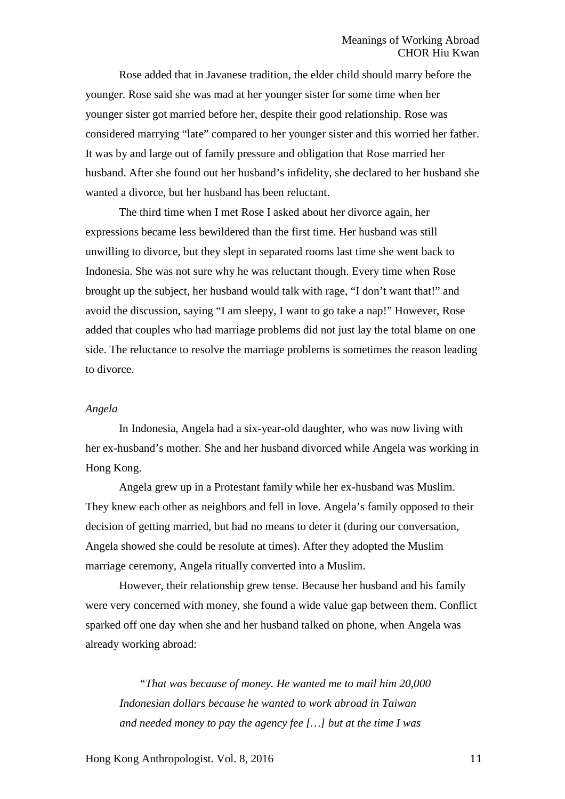Rose added that in Javanese tradition, the elder child should marry before the younger. Rose said she was mad at her younger sister for some time when her younger sister got married before her, despite their good relationship. Rose was considered marrying "late" compared to her younger sister and this worried her father. It was by and large out of family pressure and obligation that Rose married her husband. After she found out her husband's infidelity, she declared to her husband she wanted a divorce, but her husband has been reluctant.

The third time when I met Rose I asked about her divorce again, her expressions became less bewildered than the first time. Her husband was still unwilling to divorce, but they slept in separated rooms last time she went back to Indonesia. She was not sure why he was reluctant though. Every time when Rose brought up the subject, her husband would talk with rage, "I don't want that!" and avoid the discussion, saying "I am sleepy, I want to go take a nap!" However, Rose added that couples who had marriage problems did not just lay the total blame on one side. The reluctance to resolve the marriage problems is sometimes the reason leading to divorce.

#### *Angela*

In Indonesia, Angela had a six-year-old daughter, who was now living with her ex-husband's mother. She and her husband divorced while Angela was working in Hong Kong.

Angela grew up in a Protestant family while her ex-husband was Muslim. They knew each other as neighbors and fell in love. Angela's family opposed to their decision of getting married, but had no means to deter it (during our conversation, Angela showed she could be resolute at times). After they adopted the Muslim marriage ceremony, Angela ritually converted into a Muslim.

However, their relationship grew tense. Because her husband and his family were very concerned with money, she found a wide value gap between them. Conflict sparked off one day when she and her husband talked on phone, when Angela was already working abroad:

*"That was because of money. He wanted me to mail him 20,000 Indonesian dollars because he wanted to work abroad in Taiwan and needed money to pay the agency fee […] but at the time I was*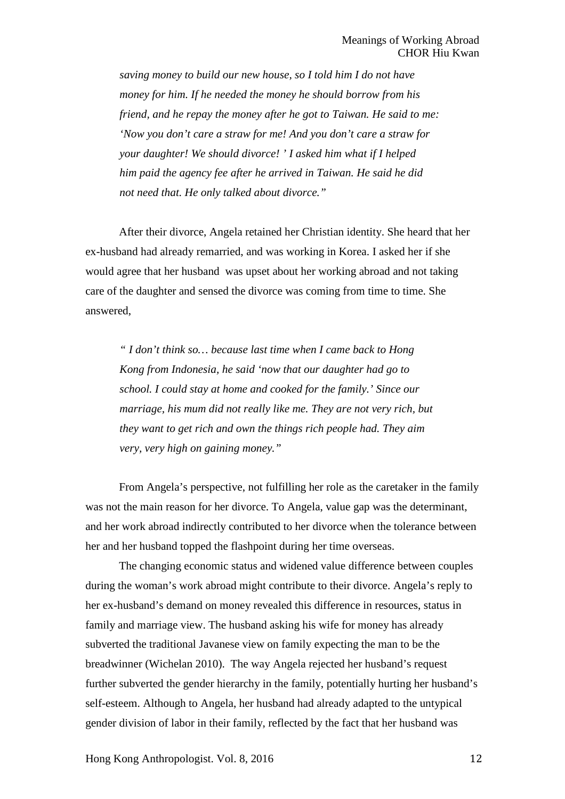*saving money to build our new house, so I told him I do not have money for him. If he needed the money he should borrow from his friend, and he repay the money after he got to Taiwan. He said to me: 'Now you don't care a straw for me! And you don't care a straw for your daughter! We should divorce! ' I asked him what if I helped him paid the agency fee after he arrived in Taiwan. He said he did not need that. He only talked about divorce."*

After their divorce, Angela retained her Christian identity. She heard that her ex-husband had already remarried, and was working in Korea. I asked her if she would agree that her husband was upset about her working abroad and not taking care of the daughter and sensed the divorce was coming from time to time. She answered,

*" I don't think so… because last time when I came back to Hong Kong from Indonesia, he said 'now that our daughter had go to school. I could stay at home and cooked for the family.' Since our marriage, his mum did not really like me. They are not very rich, but they want to get rich and own the things rich people had. They aim very, very high on gaining money."*

From Angela's perspective, not fulfilling her role as the caretaker in the family was not the main reason for her divorce. To Angela, value gap was the determinant, and her work abroad indirectly contributed to her divorce when the tolerance between her and her husband topped the flashpoint during her time overseas.

The changing economic status and widened value difference between couples during the woman's work abroad might contribute to their divorce. Angela's reply to her ex-husband's demand on money revealed this difference in resources, status in family and marriage view. The husband asking his wife for money has already subverted the traditional Javanese view on family expecting the man to be the breadwinner (Wichelan 2010). The way Angela rejected her husband's request further subverted the gender hierarchy in the family, potentially hurting her husband's self-esteem. Although to Angela, her husband had already adapted to the untypical gender division of labor in their family, reflected by the fact that her husband was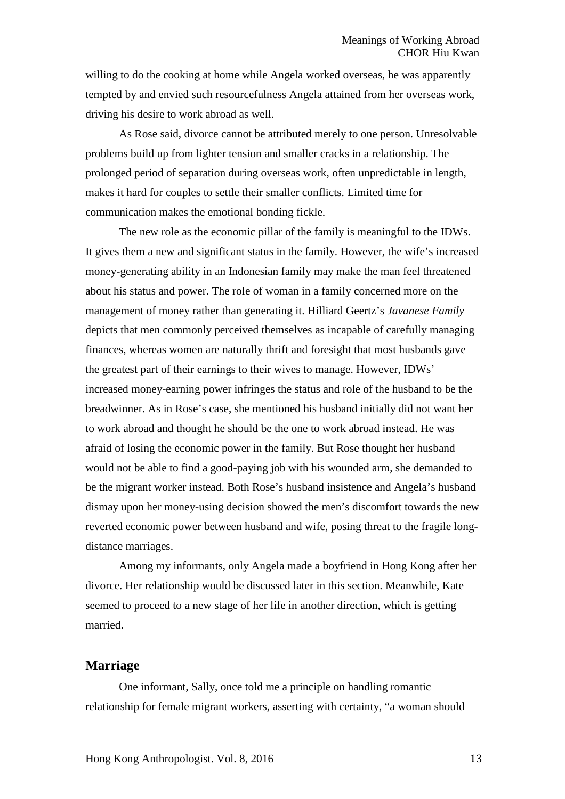willing to do the cooking at home while Angela worked overseas, he was apparently tempted by and envied such resourcefulness Angela attained from her overseas work, driving his desire to work abroad as well.

As Rose said, divorce cannot be attributed merely to one person. Unresolvable problems build up from lighter tension and smaller cracks in a relationship. The prolonged period of separation during overseas work, often unpredictable in length, makes it hard for couples to settle their smaller conflicts. Limited time for communication makes the emotional bonding fickle.

The new role as the economic pillar of the family is meaningful to the IDWs. It gives them a new and significant status in the family. However, the wife's increased money-generating ability in an Indonesian family may make the man feel threatened about his status and power. The role of woman in a family concerned more on the management of money rather than generating it. Hilliard Geertz's *Javanese Family*  depicts that men commonly perceived themselves as incapable of carefully managing finances, whereas women are naturally thrift and foresight that most husbands gave the greatest part of their earnings to their wives to manage. However, IDWs' increased money-earning power infringes the status and role of the husband to be the breadwinner. As in Rose's case, she mentioned his husband initially did not want her to work abroad and thought he should be the one to work abroad instead. He was afraid of losing the economic power in the family. But Rose thought her husband would not be able to find a good-paying job with his wounded arm, she demanded to be the migrant worker instead. Both Rose's husband insistence and Angela's husband dismay upon her money-using decision showed the men's discomfort towards the new reverted economic power between husband and wife, posing threat to the fragile longdistance marriages.

Among my informants, only Angela made a boyfriend in Hong Kong after her divorce. Her relationship would be discussed later in this section. Meanwhile, Kate seemed to proceed to a new stage of her life in another direction, which is getting married.

### **Marriage**

One informant, Sally, once told me a principle on handling romantic relationship for female migrant workers, asserting with certainty, "a woman should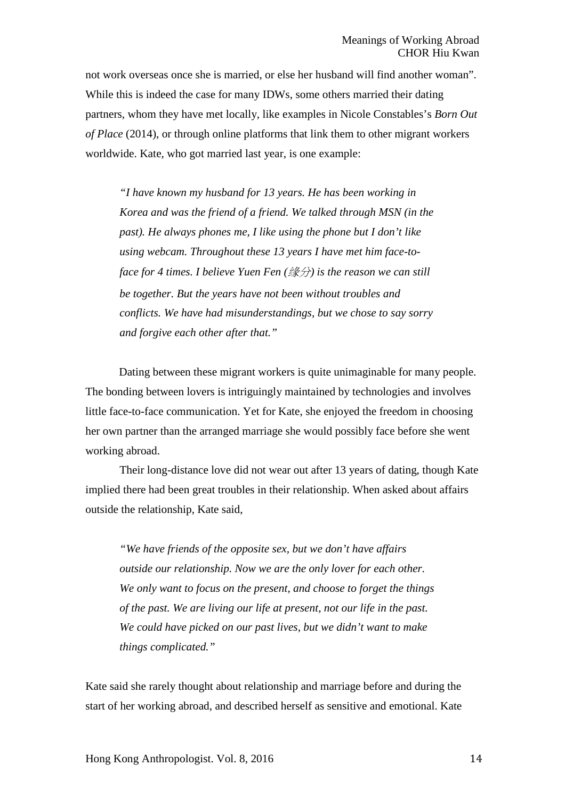not work overseas once she is married, or else her husband will find another woman". While this is indeed the case for many IDWs, some others married their dating partners, whom they have met locally, like examples in Nicole Constables's *Born Out of Place* (2014), or through online platforms that link them to other migrant workers worldwide. Kate, who got married last year, is one example:

*"I have known my husband for 13 years. He has been working in Korea and was the friend of a friend. We talked through MSN (in the past). He always phones me, I like using the phone but I don't like using webcam. Throughout these 13 years I have met him face-toface for 4 times. I believe Yuen Fen (*缘分*) is the reason we can still be together. But the years have not been without troubles and conflicts. We have had misunderstandings, but we chose to say sorry and forgive each other after that."*

Dating between these migrant workers is quite unimaginable for many people. The bonding between lovers is intriguingly maintained by technologies and involves little face-to-face communication. Yet for Kate, she enjoyed the freedom in choosing her own partner than the arranged marriage she would possibly face before she went working abroad.

Their long-distance love did not wear out after 13 years of dating, though Kate implied there had been great troubles in their relationship. When asked about affairs outside the relationship, Kate said,

*"We have friends of the opposite sex, but we don't have affairs outside our relationship. Now we are the only lover for each other. We only want to focus on the present, and choose to forget the things of the past. We are living our life at present, not our life in the past. We could have picked on our past lives, but we didn't want to make things complicated."*

Kate said she rarely thought about relationship and marriage before and during the start of her working abroad, and described herself as sensitive and emotional. Kate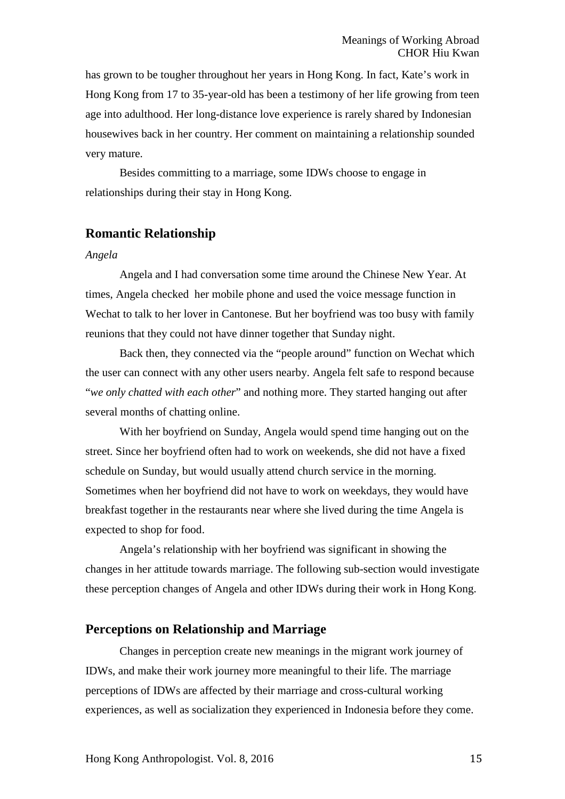has grown to be tougher throughout her years in Hong Kong. In fact, Kate's work in Hong Kong from 17 to 35-year-old has been a testimony of her life growing from teen age into adulthood. Her long-distance love experience is rarely shared by Indonesian housewives back in her country. Her comment on maintaining a relationship sounded very mature.

Besides committing to a marriage, some IDWs choose to engage in relationships during their stay in Hong Kong.

# **Romantic Relationship**

#### *Angela*

Angela and I had conversation some time around the Chinese New Year. At times, Angela checked her mobile phone and used the voice message function in Wechat to talk to her lover in Cantonese. But her boyfriend was too busy with family reunions that they could not have dinner together that Sunday night.

Back then, they connected via the "people around" function on Wechat which the user can connect with any other users nearby. Angela felt safe to respond because "*we only chatted with each other*" and nothing more. They started hanging out after several months of chatting online.

With her boyfriend on Sunday, Angela would spend time hanging out on the street. Since her boyfriend often had to work on weekends, she did not have a fixed schedule on Sunday, but would usually attend church service in the morning. Sometimes when her boyfriend did not have to work on weekdays, they would have breakfast together in the restaurants near where she lived during the time Angela is expected to shop for food.

Angela's relationship with her boyfriend was significant in showing the changes in her attitude towards marriage. The following sub-section would investigate these perception changes of Angela and other IDWs during their work in Hong Kong.

# **Perceptions on Relationship and Marriage**

Changes in perception create new meanings in the migrant work journey of IDWs, and make their work journey more meaningful to their life. The marriage perceptions of IDWs are affected by their marriage and cross-cultural working experiences, as well as socialization they experienced in Indonesia before they come.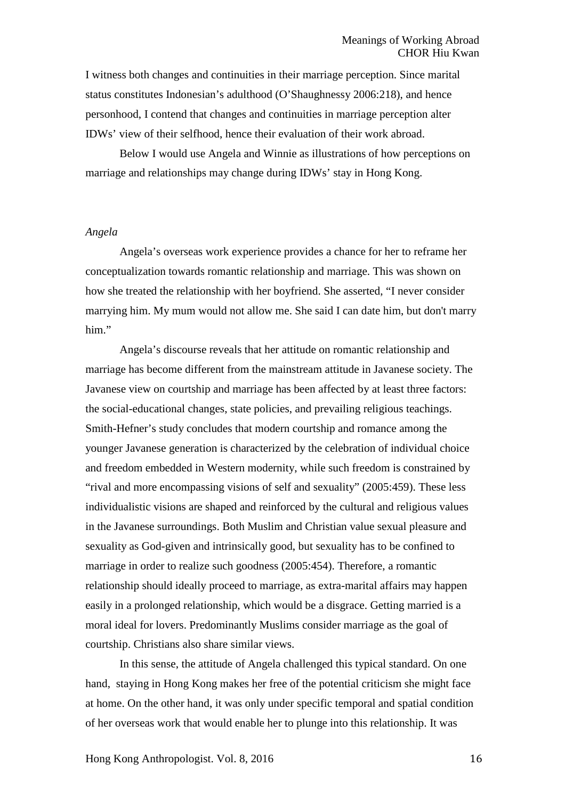I witness both changes and continuities in their marriage perception. Since marital status constitutes Indonesian's adulthood (O'Shaughnessy 2006:218), and hence personhood, I contend that changes and continuities in marriage perception alter IDWs' view of their selfhood, hence their evaluation of their work abroad.

Below I would use Angela and Winnie as illustrations of how perceptions on marriage and relationships may change during IDWs' stay in Hong Kong.

#### *Angela*

Angela's overseas work experience provides a chance for her to reframe her conceptualization towards romantic relationship and marriage. This was shown on how she treated the relationship with her boyfriend. She asserted, "I never consider marrying him. My mum would not allow me. She said I can date him, but don't marry him."

Angela's discourse reveals that her attitude on romantic relationship and marriage has become different from the mainstream attitude in Javanese society. The Javanese view on courtship and marriage has been affected by at least three factors: the social-educational changes, state policies, and prevailing religious teachings. Smith-Hefner's study concludes that modern courtship and romance among the younger Javanese generation is characterized by the celebration of individual choice and freedom embedded in Western modernity, while such freedom is constrained by "rival and more encompassing visions of self and sexuality" (2005:459). These less individualistic visions are shaped and reinforced by the cultural and religious values in the Javanese surroundings. Both Muslim and Christian value sexual pleasure and sexuality as God-given and intrinsically good, but sexuality has to be confined to marriage in order to realize such goodness (2005:454). Therefore, a romantic relationship should ideally proceed to marriage, as extra-marital affairs may happen easily in a prolonged relationship, which would be a disgrace. Getting married is a moral ideal for lovers. Predominantly Muslims consider marriage as the goal of courtship. Christians also share similar views.

In this sense, the attitude of Angela challenged this typical standard. On one hand, staying in Hong Kong makes her free of the potential criticism she might face at home. On the other hand, it was only under specific temporal and spatial condition of her overseas work that would enable her to plunge into this relationship. It was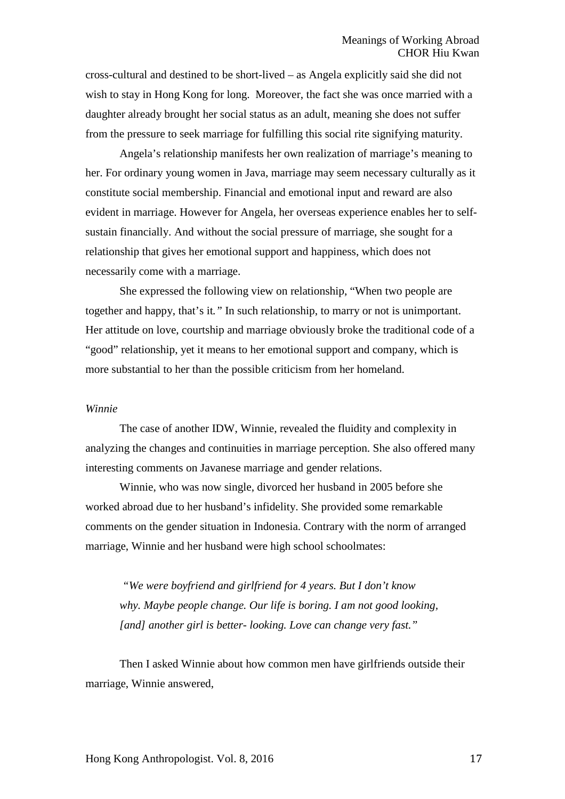cross-cultural and destined to be short-lived – as Angela explicitly said she did not wish to stay in Hong Kong for long. Moreover, the fact she was once married with a daughter already brought her social status as an adult, meaning she does not suffer from the pressure to seek marriage for fulfilling this social rite signifying maturity.

Angela's relationship manifests her own realization of marriage's meaning to her. For ordinary young women in Java, marriage may seem necessary culturally as it constitute social membership. Financial and emotional input and reward are also evident in marriage. However for Angela, her overseas experience enables her to selfsustain financially. And without the social pressure of marriage, she sought for a relationship that gives her emotional support and happiness, which does not necessarily come with a marriage.

She expressed the following view on relationship, "When two people are together and happy, that's it*."* In such relationship, to marry or not is unimportant. Her attitude on love, courtship and marriage obviously broke the traditional code of a "good" relationship, yet it means to her emotional support and company, which is more substantial to her than the possible criticism from her homeland.

#### *Winnie*

The case of another IDW, Winnie, revealed the fluidity and complexity in analyzing the changes and continuities in marriage perception. She also offered many interesting comments on Javanese marriage and gender relations.

Winnie, who was now single, divorced her husband in 2005 before she worked abroad due to her husband's infidelity. She provided some remarkable comments on the gender situation in Indonesia. Contrary with the norm of arranged marriage, Winnie and her husband were high school schoolmates:

*"We were boyfriend and girlfriend for 4 years. But I don't know why. Maybe people change. Our life is boring. I am not good looking, [and] another girl is better- looking. Love can change very fast."*

Then I asked Winnie about how common men have girlfriends outside their marriage, Winnie answered,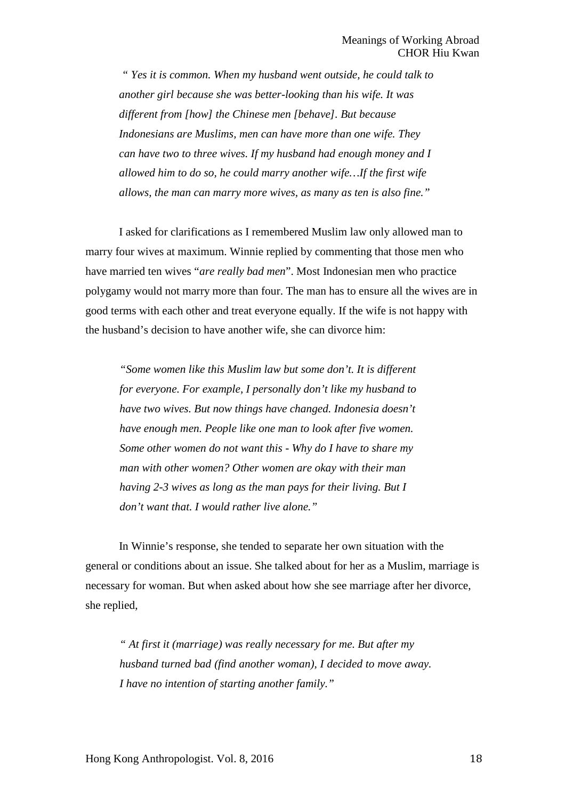*" Yes it is common. When my husband went outside, he could talk to another girl because she was better-looking than his wife. It was different from [how] the Chinese men [behave]. But because Indonesians are Muslims, men can have more than one wife. They can have two to three wives. If my husband had enough money and I allowed him to do so, he could marry another wife…If the first wife allows, the man can marry more wives, as many as ten is also fine."*

I asked for clarifications as I remembered Muslim law only allowed man to marry four wives at maximum. Winnie replied by commenting that those men who have married ten wives "*are really bad men*". Most Indonesian men who practice polygamy would not marry more than four. The man has to ensure all the wives are in good terms with each other and treat everyone equally. If the wife is not happy with the husband's decision to have another wife, she can divorce him:

*"Some women like this Muslim law but some don't. It is different for everyone. For example, I personally don't like my husband to have two wives. But now things have changed. Indonesia doesn't have enough men. People like one man to look after five women. Some other women do not want this - Why do I have to share my man with other women? Other women are okay with their man having 2-3 wives as long as the man pays for their living. But I don't want that. I would rather live alone."*

In Winnie's response, she tended to separate her own situation with the general or conditions about an issue. She talked about for her as a Muslim, marriage is necessary for woman. But when asked about how she see marriage after her divorce, she replied,

*" At first it (marriage) was really necessary for me. But after my husband turned bad (find another woman), I decided to move away. I have no intention of starting another family."*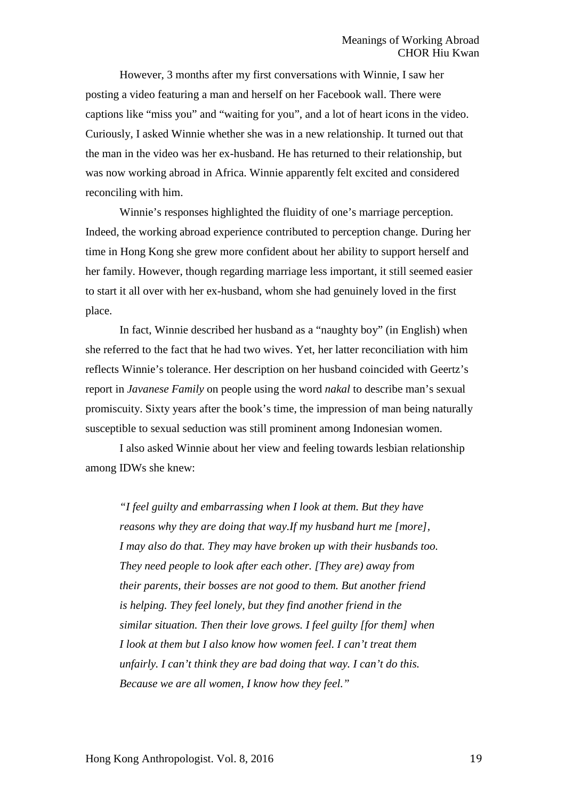However, 3 months after my first conversations with Winnie, I saw her posting a video featuring a man and herself on her Facebook wall. There were captions like "miss you" and "waiting for you", and a lot of heart icons in the video. Curiously, I asked Winnie whether she was in a new relationship. It turned out that the man in the video was her ex-husband. He has returned to their relationship, but was now working abroad in Africa. Winnie apparently felt excited and considered reconciling with him.

Winnie's responses highlighted the fluidity of one's marriage perception. Indeed, the working abroad experience contributed to perception change. During her time in Hong Kong she grew more confident about her ability to support herself and her family. However, though regarding marriage less important, it still seemed easier to start it all over with her ex-husband, whom she had genuinely loved in the first place.

In fact, Winnie described her husband as a "naughty boy" (in English) when she referred to the fact that he had two wives. Yet, her latter reconciliation with him reflects Winnie's tolerance. Her description on her husband coincided with Geertz's report in *Javanese Family* on people using the word *nakal* to describe man's sexual promiscuity. Sixty years after the book's time, the impression of man being naturally susceptible to sexual seduction was still prominent among Indonesian women.

I also asked Winnie about her view and feeling towards lesbian relationship among IDWs she knew:

*"I feel guilty and embarrassing when I look at them. But they have reasons why they are doing that way.If my husband hurt me [more], I may also do that. They may have broken up with their husbands too. They need people to look after each other. [They are) away from their parents, their bosses are not good to them. But another friend is helping. They feel lonely, but they find another friend in the similar situation. Then their love grows. I feel guilty [for them] when I look at them but I also know how women feel. I can't treat them unfairly. I can't think they are bad doing that way. I can't do this. Because we are all women, I know how they feel."*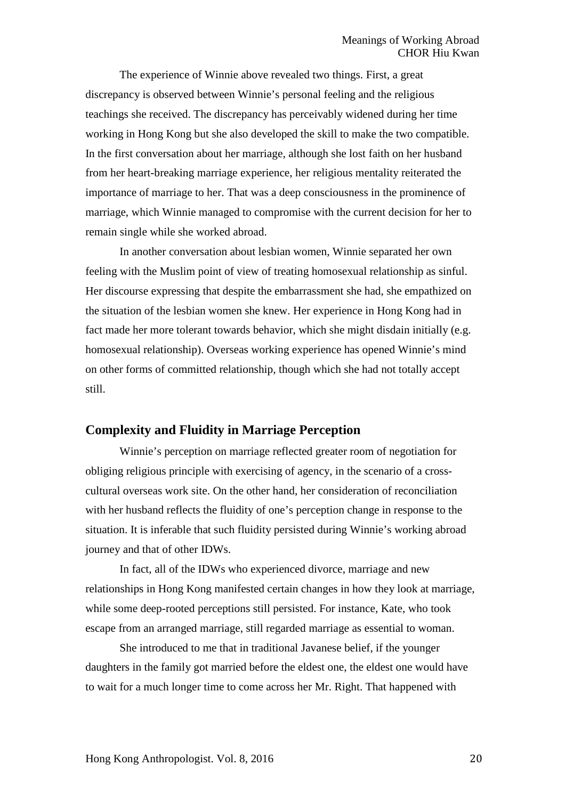The experience of Winnie above revealed two things. First, a great discrepancy is observed between Winnie's personal feeling and the religious teachings she received. The discrepancy has perceivably widened during her time working in Hong Kong but she also developed the skill to make the two compatible. In the first conversation about her marriage, although she lost faith on her husband from her heart-breaking marriage experience, her religious mentality reiterated the importance of marriage to her. That was a deep consciousness in the prominence of marriage, which Winnie managed to compromise with the current decision for her to remain single while she worked abroad.

In another conversation about lesbian women, Winnie separated her own feeling with the Muslim point of view of treating homosexual relationship as sinful. Her discourse expressing that despite the embarrassment she had, she empathized on the situation of the lesbian women she knew. Her experience in Hong Kong had in fact made her more tolerant towards behavior, which she might disdain initially (e.g. homosexual relationship). Overseas working experience has opened Winnie's mind on other forms of committed relationship, though which she had not totally accept still.

# **Complexity and Fluidity in Marriage Perception**

Winnie's perception on marriage reflected greater room of negotiation for obliging religious principle with exercising of agency, in the scenario of a crosscultural overseas work site. On the other hand, her consideration of reconciliation with her husband reflects the fluidity of one's perception change in response to the situation. It is inferable that such fluidity persisted during Winnie's working abroad journey and that of other IDWs.

In fact, all of the IDWs who experienced divorce, marriage and new relationships in Hong Kong manifested certain changes in how they look at marriage, while some deep-rooted perceptions still persisted. For instance, Kate, who took escape from an arranged marriage, still regarded marriage as essential to woman.

She introduced to me that in traditional Javanese belief, if the younger daughters in the family got married before the eldest one, the eldest one would have to wait for a much longer time to come across her Mr. Right. That happened with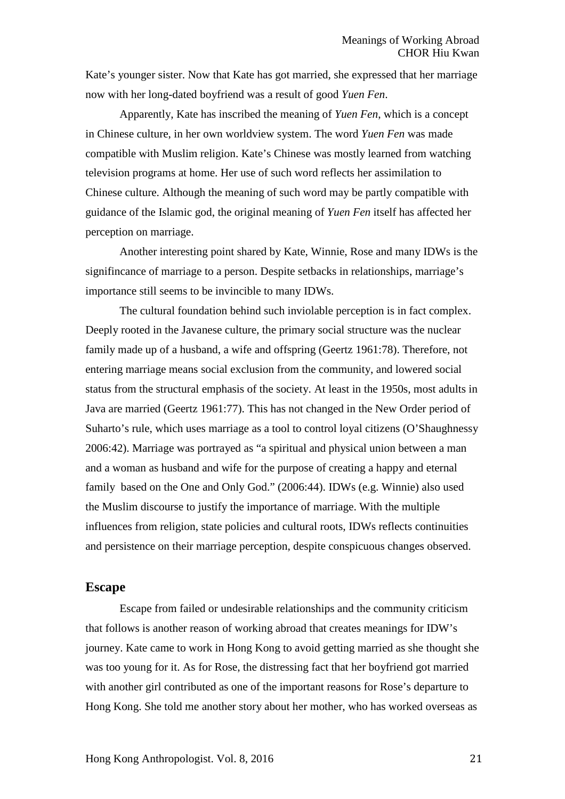Kate's younger sister. Now that Kate has got married, she expressed that her marriage now with her long-dated boyfriend was a result of good *Yuen Fen*.

Apparently, Kate has inscribed the meaning of *Yuen Fen*, which is a concept in Chinese culture, in her own worldview system. The word *Yuen Fen* was made compatible with Muslim religion. Kate's Chinese was mostly learned from watching television programs at home. Her use of such word reflects her assimilation to Chinese culture. Although the meaning of such word may be partly compatible with guidance of the Islamic god, the original meaning of *Yuen Fen* itself has affected her perception on marriage.

Another interesting point shared by Kate, Winnie, Rose and many IDWs is the signifincance of marriage to a person. Despite setbacks in relationships, marriage's importance still seems to be invincible to many IDWs.

The cultural foundation behind such inviolable perception is in fact complex. Deeply rooted in the Javanese culture, the primary social structure was the nuclear family made up of a husband, a wife and offspring (Geertz 1961:78). Therefore, not entering marriage means social exclusion from the community, and lowered social status from the structural emphasis of the society. At least in the 1950s, most adults in Java are married (Geertz 1961:77). This has not changed in the New Order period of Suharto's rule, which uses marriage as a tool to control loyal citizens (O'Shaughnessy 2006:42). Marriage was portrayed as "a spiritual and physical union between a man and a woman as husband and wife for the purpose of creating a happy and eternal family based on the One and Only God." (2006:44). IDWs (e.g. Winnie) also used the Muslim discourse to justify the importance of marriage. With the multiple influences from religion, state policies and cultural roots, IDWs reflects continuities and persistence on their marriage perception, despite conspicuous changes observed.

#### **Escape**

Escape from failed or undesirable relationships and the community criticism that follows is another reason of working abroad that creates meanings for IDW's journey. Kate came to work in Hong Kong to avoid getting married as she thought she was too young for it. As for Rose, the distressing fact that her boyfriend got married with another girl contributed as one of the important reasons for Rose's departure to Hong Kong. She told me another story about her mother, who has worked overseas as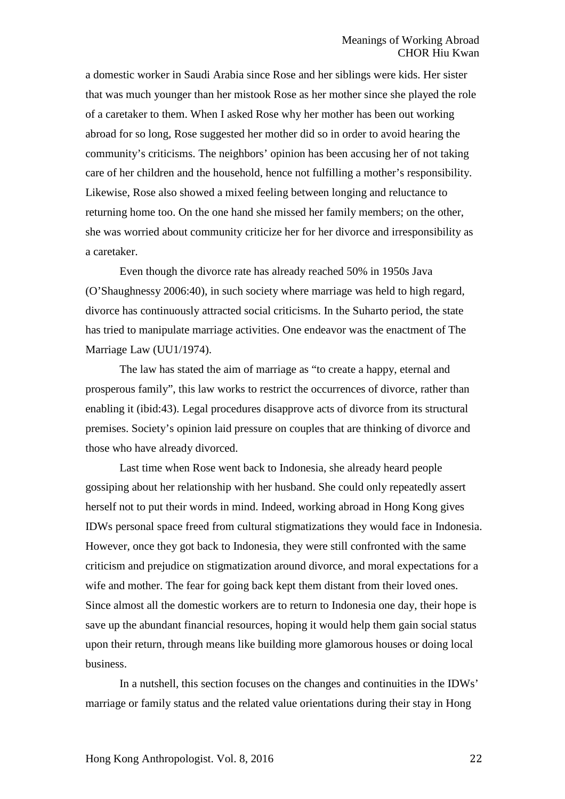a domestic worker in Saudi Arabia since Rose and her siblings were kids. Her sister that was much younger than her mistook Rose as her mother since she played the role of a caretaker to them. When I asked Rose why her mother has been out working abroad for so long, Rose suggested her mother did so in order to avoid hearing the community's criticisms. The neighbors' opinion has been accusing her of not taking care of her children and the household, hence not fulfilling a mother's responsibility. Likewise, Rose also showed a mixed feeling between longing and reluctance to returning home too. On the one hand she missed her family members; on the other, she was worried about community criticize her for her divorce and irresponsibility as a caretaker.

Even though the divorce rate has already reached 50% in 1950s Java (O'Shaughnessy 2006:40), in such society where marriage was held to high regard, divorce has continuously attracted social criticisms. In the Suharto period, the state has tried to manipulate marriage activities. One endeavor was the enactment of The Marriage Law (UU1/1974).

The law has stated the aim of marriage as "to create a happy, eternal and prosperous family", this law works to restrict the occurrences of divorce, rather than enabling it (ibid:43). Legal procedures disapprove acts of divorce from its structural premises. Society's opinion laid pressure on couples that are thinking of divorce and those who have already divorced.

Last time when Rose went back to Indonesia, she already heard people gossiping about her relationship with her husband. She could only repeatedly assert herself not to put their words in mind. Indeed, working abroad in Hong Kong gives IDWs personal space freed from cultural stigmatizations they would face in Indonesia. However, once they got back to Indonesia, they were still confronted with the same criticism and prejudice on stigmatization around divorce, and moral expectations for a wife and mother. The fear for going back kept them distant from their loved ones. Since almost all the domestic workers are to return to Indonesia one day, their hope is save up the abundant financial resources, hoping it would help them gain social status upon their return, through means like building more glamorous houses or doing local business.

In a nutshell, this section focuses on the changes and continuities in the IDWs' marriage or family status and the related value orientations during their stay in Hong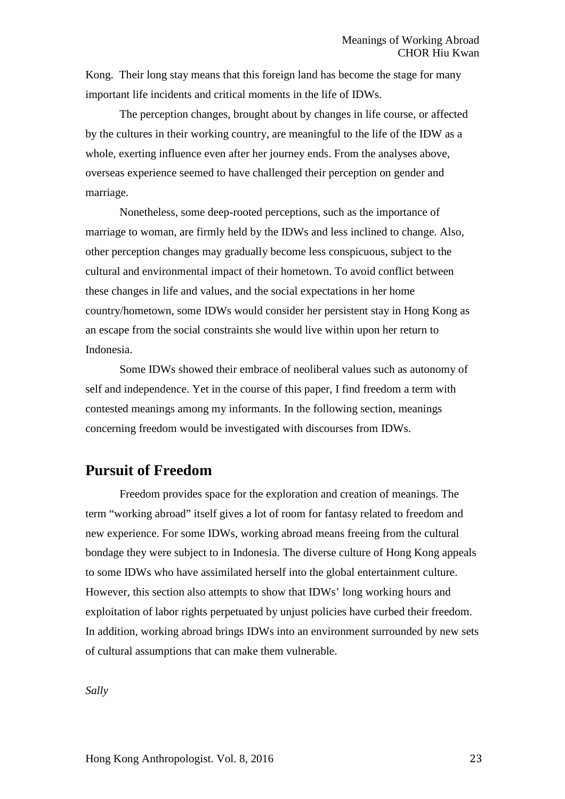Kong. Their long stay means that this foreign land has become the stage for many important life incidents and critical moments in the life of IDWs.

The perception changes, brought about by changes in life course, or affected by the cultures in their working country, are meaningful to the life of the IDW as a whole, exerting influence even after her journey ends. From the analyses above, overseas experience seemed to have challenged their perception on gender and marriage.

Nonetheless, some deep-rooted perceptions, such as the importance of marriage to woman, are firmly held by the IDWs and less inclined to change. Also, other perception changes may gradually become less conspicuous, subject to the cultural and environmental impact of their hometown. To avoid conflict between these changes in life and values, and the social expectations in her home country/hometown, some IDWs would consider her persistent stay in Hong Kong as an escape from the social constraints she would live within upon her return to Indonesia.

Some IDWs showed their embrace of neoliberal values such as autonomy of self and independence. Yet in the course of this paper, I find freedom a term with contested meanings among my informants. In the following section, meanings concerning freedom would be investigated with discourses from IDWs.

# **Pursuit of Freedom**

Freedom provides space for the exploration and creation of meanings. The term "working abroad" itself gives a lot of room for fantasy related to freedom and new experience. For some IDWs, working abroad means freeing from the cultural bondage they were subject to in Indonesia. The diverse culture of Hong Kong appeals to some IDWs who have assimilated herself into the global entertainment culture. However, this section also attempts to show that IDWs' long working hours and exploitation of labor rights perpetuated by unjust policies have curbed their freedom. In addition, working abroad brings IDWs into an environment surrounded by new sets of cultural assumptions that can make them vulnerable.

*Sally*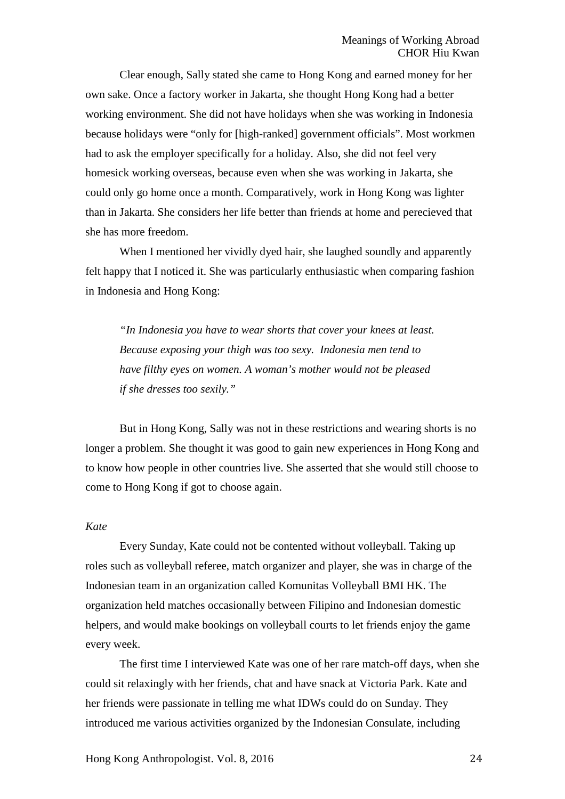Clear enough, Sally stated she came to Hong Kong and earned money for her own sake. Once a factory worker in Jakarta, she thought Hong Kong had a better working environment. She did not have holidays when she was working in Indonesia because holidays were "only for [high-ranked] government officials". Most workmen had to ask the employer specifically for a holiday. Also, she did not feel very homesick working overseas, because even when she was working in Jakarta, she could only go home once a month. Comparatively, work in Hong Kong was lighter than in Jakarta. She considers her life better than friends at home and perecieved that she has more freedom.

When I mentioned her vividly dyed hair, she laughed soundly and apparently felt happy that I noticed it. She was particularly enthusiastic when comparing fashion in Indonesia and Hong Kong:

*"In Indonesia you have to wear shorts that cover your knees at least. Because exposing your thigh was too sexy. Indonesia men tend to have filthy eyes on women. A woman's mother would not be pleased if she dresses too sexily."*

But in Hong Kong, Sally was not in these restrictions and wearing shorts is no longer a problem. She thought it was good to gain new experiences in Hong Kong and to know how people in other countries live. She asserted that she would still choose to come to Hong Kong if got to choose again.

### *Kate*

Every Sunday, Kate could not be contented without volleyball. Taking up roles such as volleyball referee, match organizer and player, she was in charge of the Indonesian team in an organization called Komunitas Volleyball BMI HK. The organization held matches occasionally between Filipino and Indonesian domestic helpers, and would make bookings on volleyball courts to let friends enjoy the game every week.

The first time I interviewed Kate was one of her rare match-off days, when she could sit relaxingly with her friends, chat and have snack at Victoria Park. Kate and her friends were passionate in telling me what IDWs could do on Sunday. They introduced me various activities organized by the Indonesian Consulate, including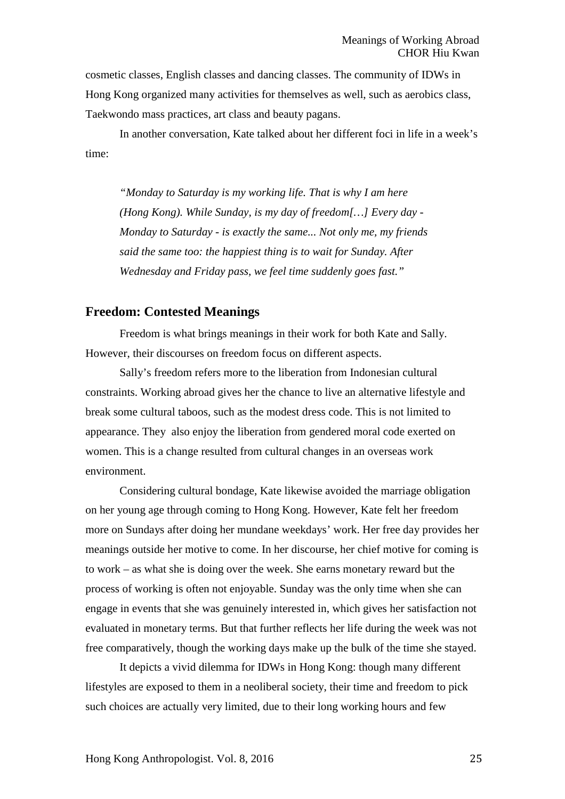cosmetic classes, English classes and dancing classes. The community of IDWs in Hong Kong organized many activities for themselves as well, such as aerobics class, Taekwondo mass practices, art class and beauty pagans.

In another conversation, Kate talked about her different foci in life in a week's time:

*"Monday to Saturday is my working life. That is why I am here (Hong Kong). While Sunday, is my day of freedom[…] Every day - Monday to Saturday - is exactly the same... Not only me, my friends said the same too: the happiest thing is to wait for Sunday. After Wednesday and Friday pass, we feel time suddenly goes fast."*

### **Freedom: Contested Meanings**

Freedom is what brings meanings in their work for both Kate and Sally. However, their discourses on freedom focus on different aspects.

Sally's freedom refers more to the liberation from Indonesian cultural constraints. Working abroad gives her the chance to live an alternative lifestyle and break some cultural taboos, such as the modest dress code. This is not limited to appearance. They also enjoy the liberation from gendered moral code exerted on women. This is a change resulted from cultural changes in an overseas work environment.

Considering cultural bondage, Kate likewise avoided the marriage obligation on her young age through coming to Hong Kong. However, Kate felt her freedom more on Sundays after doing her mundane weekdays' work. Her free day provides her meanings outside her motive to come. In her discourse, her chief motive for coming is to work – as what she is doing over the week. She earns monetary reward but the process of working is often not enjoyable. Sunday was the only time when she can engage in events that she was genuinely interested in, which gives her satisfaction not evaluated in monetary terms. But that further reflects her life during the week was not free comparatively, though the working days make up the bulk of the time she stayed.

It depicts a vivid dilemma for IDWs in Hong Kong: though many different lifestyles are exposed to them in a neoliberal society, their time and freedom to pick such choices are actually very limited, due to their long working hours and few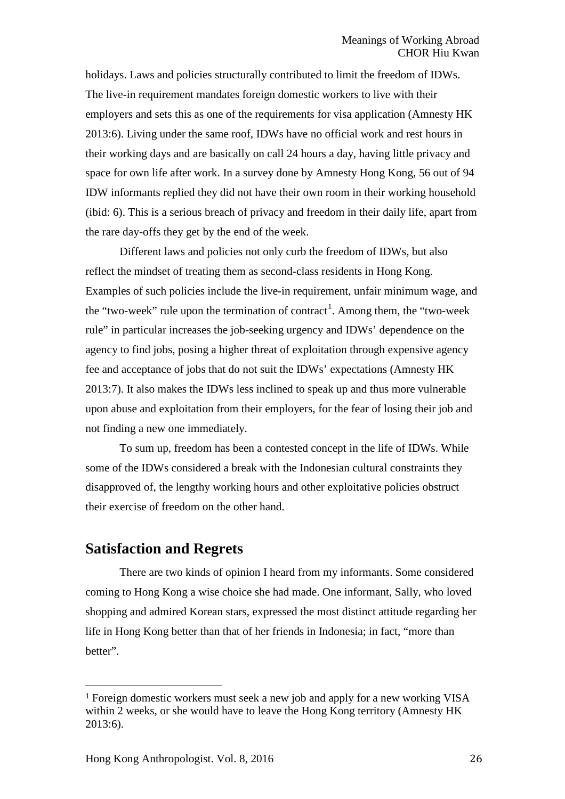holidays. Laws and policies structurally contributed to limit the freedom of IDWs. The live-in requirement mandates foreign domestic workers to live with their employers and sets this as one of the requirements for visa application (Amnesty HK 2013:6). Living under the same roof, IDWs have no official work and rest hours in their working days and are basically on call 24 hours a day, having little privacy and space for own life after work. In a survey done by Amnesty Hong Kong, 56 out of 94 IDW informants replied they did not have their own room in their working household (ibid: 6). This is a serious breach of privacy and freedom in their daily life, apart from the rare day-offs they get by the end of the week.

Different laws and policies not only curb the freedom of IDWs, but also reflect the mindset of treating them as second-class residents in Hong Kong. Examples of such policies include the live-in requirement, unfair minimum wage, and the "two-week" rule upon the termination of contract<sup>[1](#page-25-0)</sup>. Among them, the "two-week" rule" in particular increases the job-seeking urgency and IDWs' dependence on the agency to find jobs, posing a higher threat of exploitation through expensive agency fee and acceptance of jobs that do not suit the IDWs' expectations (Amnesty HK 2013:7). It also makes the IDWs less inclined to speak up and thus more vulnerable upon abuse and exploitation from their employers, for the fear of losing their job and not finding a new one immediately.

To sum up, freedom has been a contested concept in the life of IDWs. While some of the IDWs considered a break with the Indonesian cultural constraints they disapproved of, the lengthy working hours and other exploitative policies obstruct their exercise of freedom on the other hand.

# **Satisfaction and Regrets**

There are two kinds of opinion I heard from my informants. Some considered coming to Hong Kong a wise choice she had made. One informant, Sally, who loved shopping and admired Korean stars, expressed the most distinct attitude regarding her life in Hong Kong better than that of her friends in Indonesia; in fact, "more than better".

<span id="page-25-0"></span> <sup>1</sup> Foreign domestic workers must seek a new job and apply for a new working VISA within 2 weeks, or she would have to leave the Hong Kong territory (Amnesty HK 2013:6).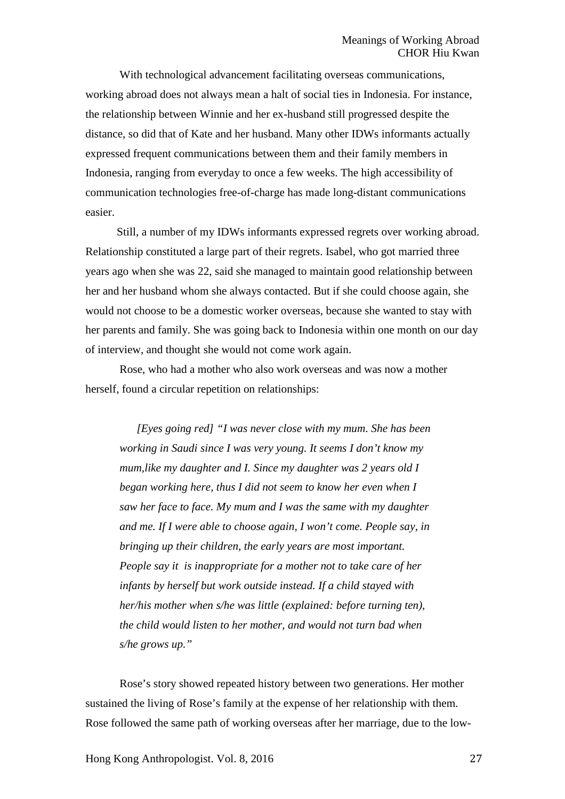With technological advancement facilitating overseas communications, working abroad does not always mean a halt of social ties in Indonesia. For instance, the relationship between Winnie and her ex-husband still progressed despite the distance, so did that of Kate and her husband. Many other IDWs informants actually expressed frequent communications between them and their family members in Indonesia, ranging from everyday to once a few weeks. The high accessibility of communication technologies free-of-charge has made long-distant communications easier.

Still, a number of my IDWs informants expressed regrets over working abroad. Relationship constituted a large part of their regrets. Isabel, who got married three years ago when she was 22, said she managed to maintain good relationship between her and her husband whom she always contacted. But if she could choose again, she would not choose to be a domestic worker overseas, because she wanted to stay with her parents and family. She was going back to Indonesia within one month on our day of interview, and thought she would not come work again.

Rose, who had a mother who also work overseas and was now a mother herself, found a circular repetition on relationships:

*[Eyes going red] "I was never close with my mum. She has been working in Saudi since I was very young. It seems I don't know my mum,like my daughter and I. Since my daughter was 2 years old I began working here, thus I did not seem to know her even when I saw her face to face. My mum and I was the same with my daughter and me. If I were able to choose again, I won't come. People say, in bringing up their children, the early years are most important. People say it is inappropriate for a mother not to take care of her infants by herself but work outside instead. If a child stayed with her/his mother when s/he was little (explained: before turning ten), the child would listen to her mother, and would not turn bad when s/he grows up."*

Rose's story showed repeated history between two generations. Her mother sustained the living of Rose's family at the expense of her relationship with them. Rose followed the same path of working overseas after her marriage, due to the low-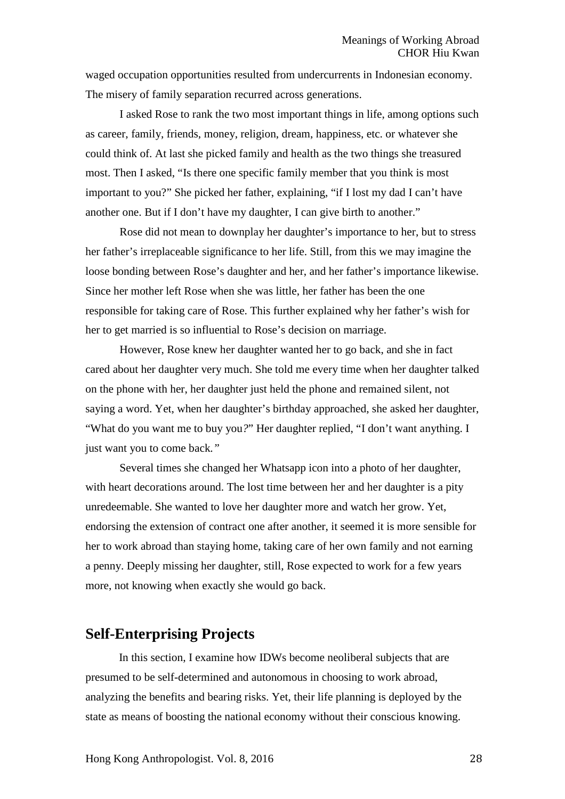waged occupation opportunities resulted from undercurrents in Indonesian economy. The misery of family separation recurred across generations.

I asked Rose to rank the two most important things in life, among options such as career, family, friends, money, religion, dream, happiness, etc. or whatever she could think of. At last she picked family and health as the two things she treasured most. Then I asked, "Is there one specific family member that you think is most important to you?" She picked her father, explaining, "if I lost my dad I can't have another one. But if I don't have my daughter, I can give birth to another."

Rose did not mean to downplay her daughter's importance to her, but to stress her father's irreplaceable significance to her life. Still, from this we may imagine the loose bonding between Rose's daughter and her, and her father's importance likewise. Since her mother left Rose when she was little, her father has been the one responsible for taking care of Rose. This further explained why her father's wish for her to get married is so influential to Rose's decision on marriage.

However, Rose knew her daughter wanted her to go back, and she in fact cared about her daughter very much. She told me every time when her daughter talked on the phone with her, her daughter just held the phone and remained silent, not saying a word. Yet, when her daughter's birthday approached, she asked her daughter, "What do you want me to buy you*?*" Her daughter replied, "I don't want anything. I just want you to come back*."*

Several times she changed her Whatsapp icon into a photo of her daughter, with heart decorations around. The lost time between her and her daughter is a pity unredeemable. She wanted to love her daughter more and watch her grow. Yet, endorsing the extension of contract one after another, it seemed it is more sensible for her to work abroad than staying home, taking care of her own family and not earning a penny. Deeply missing her daughter, still, Rose expected to work for a few years more, not knowing when exactly she would go back.

# **Self-Enterprising Projects**

In this section, I examine how IDWs become neoliberal subjects that are presumed to be self-determined and autonomous in choosing to work abroad, analyzing the benefits and bearing risks. Yet, their life planning is deployed by the state as means of boosting the national economy without their conscious knowing.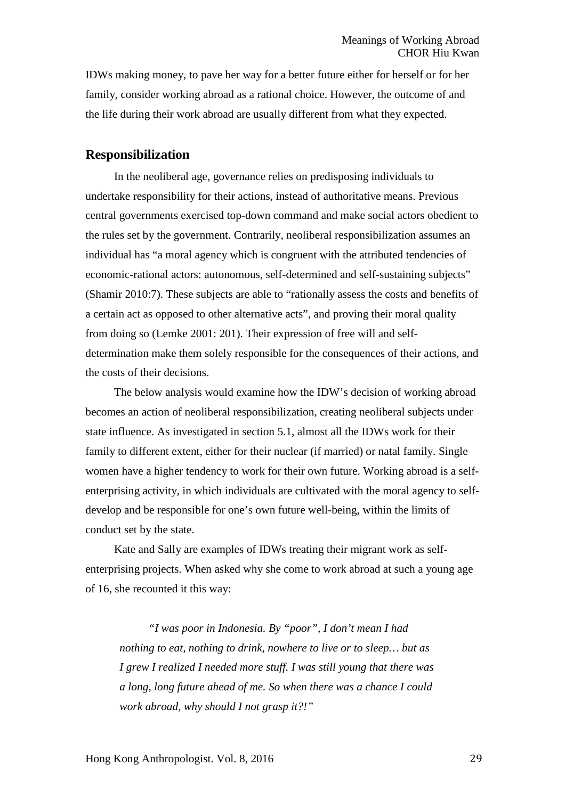IDWs making money, to pave her way for a better future either for herself or for her family, consider working abroad as a rational choice. However, the outcome of and the life during their work abroad are usually different from what they expected.

### **Responsibilization**

In the neoliberal age, governance relies on predisposing individuals to undertake responsibility for their actions, instead of authoritative means. Previous central governments exercised top-down command and make social actors obedient to the rules set by the government. Contrarily, neoliberal responsibilization assumes an individual has "a moral agency which is congruent with the attributed tendencies of economic-rational actors: autonomous, self-determined and self-sustaining subjects" (Shamir 2010:7). These subjects are able to "rationally assess the costs and benefits of a certain act as opposed to other alternative acts", and proving their moral quality from doing so (Lemke 2001: 201). Their expression of free will and selfdetermination make them solely responsible for the consequences of their actions, and the costs of their decisions.

The below analysis would examine how the IDW's decision of working abroad becomes an action of neoliberal responsibilization, creating neoliberal subjects under state influence. As investigated in section 5.1, almost all the IDWs work for their family to different extent, either for their nuclear (if married) or natal family. Single women have a higher tendency to work for their own future. Working abroad is a selfenterprising activity, in which individuals are cultivated with the moral agency to selfdevelop and be responsible for one's own future well-being, within the limits of conduct set by the state.

Kate and Sally are examples of IDWs treating their migrant work as selfenterprising projects. When asked why she come to work abroad at such a young age of 16, she recounted it this way:

*"I was poor in Indonesia. By "poor", I don't mean I had nothing to eat, nothing to drink, nowhere to live or to sleep… but as I grew I realized I needed more stuff. I was still young that there was a long, long future ahead of me. So when there was a chance I could work abroad, why should I not grasp it?!"*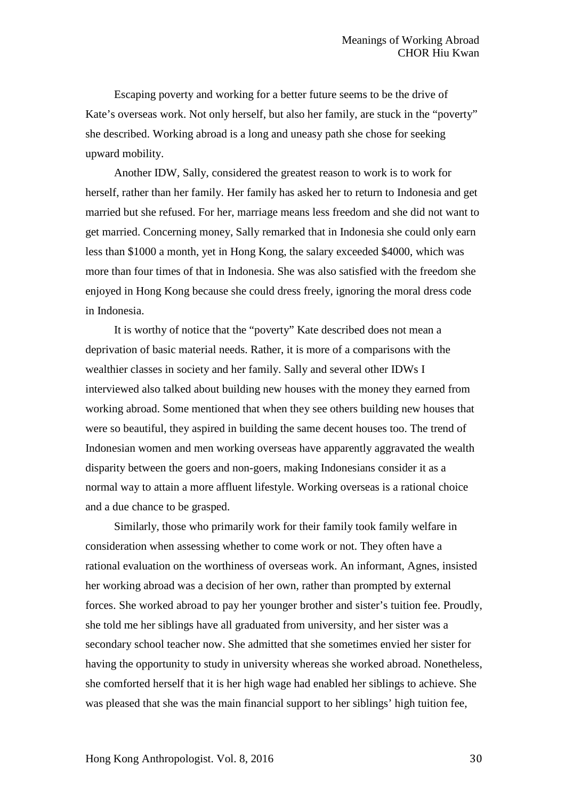Escaping poverty and working for a better future seems to be the drive of Kate's overseas work. Not only herself, but also her family, are stuck in the "poverty" she described. Working abroad is a long and uneasy path she chose for seeking upward mobility.

Another IDW, Sally, considered the greatest reason to work is to work for herself, rather than her family. Her family has asked her to return to Indonesia and get married but she refused. For her, marriage means less freedom and she did not want to get married. Concerning money, Sally remarked that in Indonesia she could only earn less than \$1000 a month, yet in Hong Kong, the salary exceeded \$4000, which was more than four times of that in Indonesia. She was also satisfied with the freedom she enjoyed in Hong Kong because she could dress freely, ignoring the moral dress code in Indonesia.

It is worthy of notice that the "poverty" Kate described does not mean a deprivation of basic material needs. Rather, it is more of a comparisons with the wealthier classes in society and her family. Sally and several other IDWs I interviewed also talked about building new houses with the money they earned from working abroad. Some mentioned that when they see others building new houses that were so beautiful, they aspired in building the same decent houses too. The trend of Indonesian women and men working overseas have apparently aggravated the wealth disparity between the goers and non-goers, making Indonesians consider it as a normal way to attain a more affluent lifestyle. Working overseas is a rational choice and a due chance to be grasped.

Similarly, those who primarily work for their family took family welfare in consideration when assessing whether to come work or not. They often have a rational evaluation on the worthiness of overseas work. An informant, Agnes, insisted her working abroad was a decision of her own, rather than prompted by external forces. She worked abroad to pay her younger brother and sister's tuition fee. Proudly, she told me her siblings have all graduated from university, and her sister was a secondary school teacher now. She admitted that she sometimes envied her sister for having the opportunity to study in university whereas she worked abroad. Nonetheless, she comforted herself that it is her high wage had enabled her siblings to achieve. She was pleased that she was the main financial support to her siblings' high tuition fee,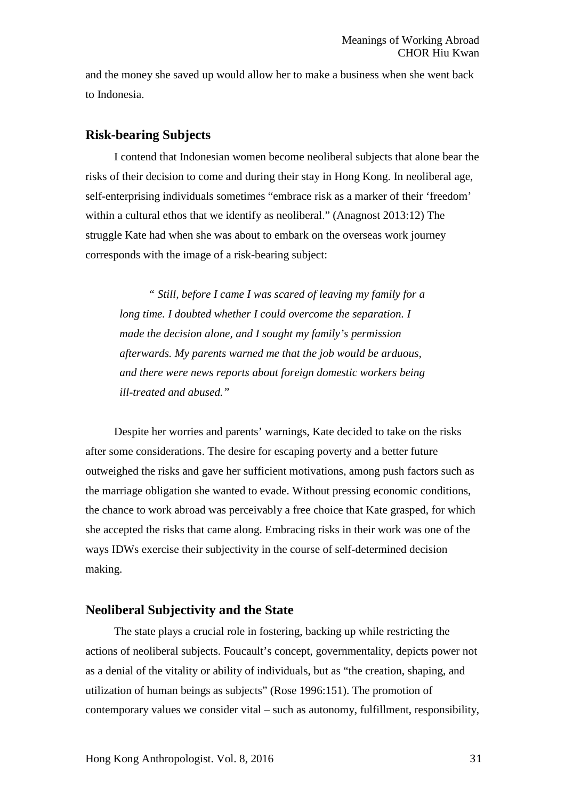and the money she saved up would allow her to make a business when she went back to Indonesia.

# **Risk-bearing Subjects**

I contend that Indonesian women become neoliberal subjects that alone bear the risks of their decision to come and during their stay in Hong Kong. In neoliberal age, self-enterprising individuals sometimes "embrace risk as a marker of their 'freedom' within a cultural ethos that we identify as neoliberal." (Anagnost 2013:12) The struggle Kate had when she was about to embark on the overseas work journey corresponds with the image of a risk-bearing subject:

*" Still, before I came I was scared of leaving my family for a long time. I doubted whether I could overcome the separation. I made the decision alone, and I sought my family's permission afterwards. My parents warned me that the job would be arduous, and there were news reports about foreign domestic workers being ill-treated and abused."*

Despite her worries and parents' warnings, Kate decided to take on the risks after some considerations. The desire for escaping poverty and a better future outweighed the risks and gave her sufficient motivations, among push factors such as the marriage obligation she wanted to evade. Without pressing economic conditions, the chance to work abroad was perceivably a free choice that Kate grasped, for which she accepted the risks that came along. Embracing risks in their work was one of the ways IDWs exercise their subjectivity in the course of self-determined decision making.

# **Neoliberal Subjectivity and the State**

The state plays a crucial role in fostering, backing up while restricting the actions of neoliberal subjects. Foucault's concept, governmentality, depicts power not as a denial of the vitality or ability of individuals, but as "the creation, shaping, and utilization of human beings as subjects" (Rose 1996:151). The promotion of contemporary values we consider vital – such as autonomy, fulfillment, responsibility,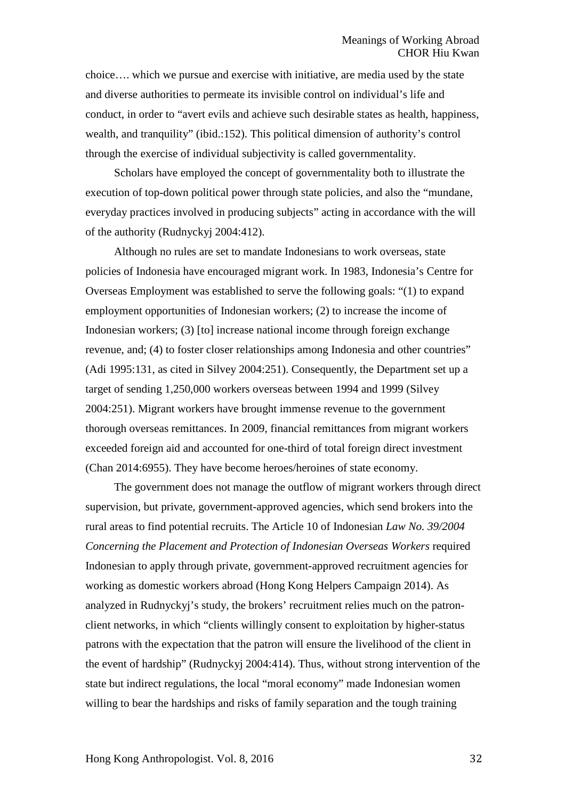choice…. which we pursue and exercise with initiative, are media used by the state and diverse authorities to permeate its invisible control on individual's life and conduct, in order to "avert evils and achieve such desirable states as health, happiness, wealth, and tranquility" (ibid.:152). This political dimension of authority's control through the exercise of individual subjectivity is called governmentality.

Scholars have employed the concept of governmentality both to illustrate the execution of top-down political power through state policies, and also the "mundane, everyday practices involved in producing subjects" acting in accordance with the will of the authority (Rudnyckyj 2004:412).

Although no rules are set to mandate Indonesians to work overseas, state policies of Indonesia have encouraged migrant work. In 1983, Indonesia's Centre for Overseas Employment was established to serve the following goals: "(1) to expand employment opportunities of Indonesian workers; (2) to increase the income of Indonesian workers; (3) [to] increase national income through foreign exchange revenue, and; (4) to foster closer relationships among Indonesia and other countries" (Adi 1995:131, as cited in Silvey 2004:251). Consequently, the Department set up a target of sending 1,250,000 workers overseas between 1994 and 1999 (Silvey 2004:251). Migrant workers have brought immense revenue to the government thorough overseas remittances. In 2009, financial remittances from migrant workers exceeded foreign aid and accounted for one-third of total foreign direct investment (Chan 2014:6955). They have become heroes/heroines of state economy.

The government does not manage the outflow of migrant workers through direct supervision, but private, government-approved agencies, which send brokers into the rural areas to find potential recruits. The Article 10 of Indonesian *Law No. 39/2004 Concerning the Placement and Protection of Indonesian Overseas Workers* required Indonesian to apply through private, government-approved recruitment agencies for working as domestic workers abroad (Hong Kong Helpers Campaign 2014). As analyzed in Rudnyckyj's study, the brokers' recruitment relies much on the patronclient networks, in which "clients willingly consent to exploitation by higher-status patrons with the expectation that the patron will ensure the livelihood of the client in the event of hardship" (Rudnyckyj 2004:414). Thus, without strong intervention of the state but indirect regulations, the local "moral economy" made Indonesian women willing to bear the hardships and risks of family separation and the tough training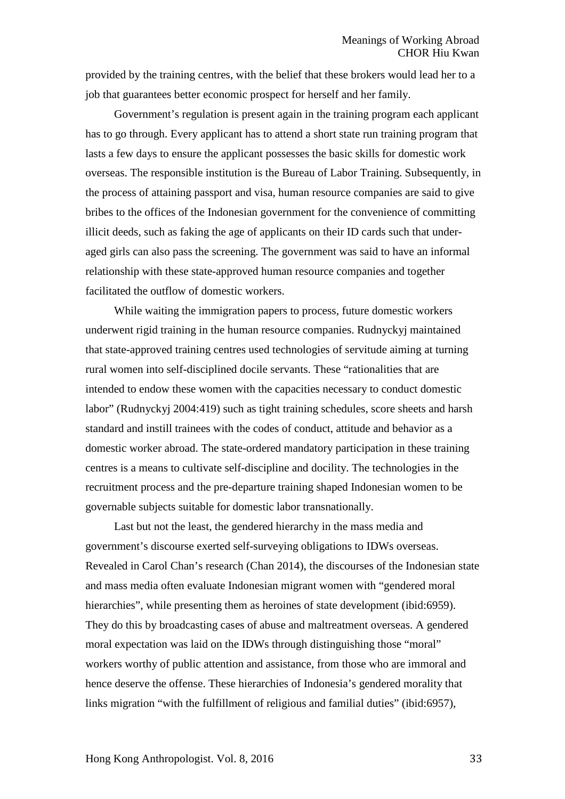provided by the training centres, with the belief that these brokers would lead her to a job that guarantees better economic prospect for herself and her family.

Government's regulation is present again in the training program each applicant has to go through. Every applicant has to attend a short state run training program that lasts a few days to ensure the applicant possesses the basic skills for domestic work overseas. The responsible institution is the Bureau of Labor Training. Subsequently, in the process of attaining passport and visa, human resource companies are said to give bribes to the offices of the Indonesian government for the convenience of committing illicit deeds, such as faking the age of applicants on their ID cards such that underaged girls can also pass the screening. The government was said to have an informal relationship with these state-approved human resource companies and together facilitated the outflow of domestic workers.

While waiting the immigration papers to process, future domestic workers underwent rigid training in the human resource companies. Rudnyckyj maintained that state-approved training centres used technologies of servitude aiming at turning rural women into self-disciplined docile servants. These "rationalities that are intended to endow these women with the capacities necessary to conduct domestic labor" (Rudnyckyj 2004:419) such as tight training schedules, score sheets and harsh standard and instill trainees with the codes of conduct, attitude and behavior as a domestic worker abroad. The state-ordered mandatory participation in these training centres is a means to cultivate self-discipline and docility. The technologies in the recruitment process and the pre-departure training shaped Indonesian women to be governable subjects suitable for domestic labor transnationally.

Last but not the least, the gendered hierarchy in the mass media and government's discourse exerted self-surveying obligations to IDWs overseas. Revealed in Carol Chan's research (Chan 2014), the discourses of the Indonesian state and mass media often evaluate Indonesian migrant women with "gendered moral hierarchies", while presenting them as heroines of state development (ibid:6959). They do this by broadcasting cases of abuse and maltreatment overseas. A gendered moral expectation was laid on the IDWs through distinguishing those "moral" workers worthy of public attention and assistance, from those who are immoral and hence deserve the offense. These hierarchies of Indonesia's gendered morality that links migration "with the fulfillment of religious and familial duties" (ibid:6957),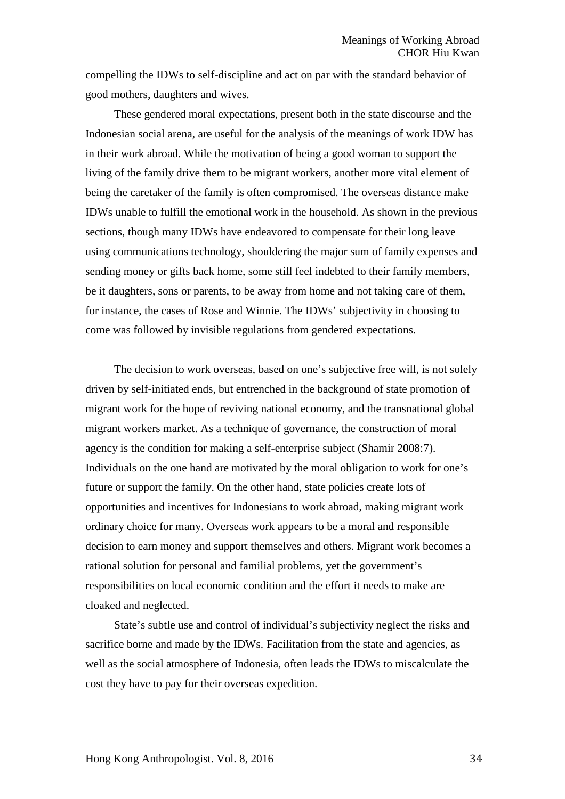compelling the IDWs to self-discipline and act on par with the standard behavior of good mothers, daughters and wives.

These gendered moral expectations, present both in the state discourse and the Indonesian social arena, are useful for the analysis of the meanings of work IDW has in their work abroad. While the motivation of being a good woman to support the living of the family drive them to be migrant workers, another more vital element of being the caretaker of the family is often compromised. The overseas distance make IDWs unable to fulfill the emotional work in the household. As shown in the previous sections, though many IDWs have endeavored to compensate for their long leave using communications technology, shouldering the major sum of family expenses and sending money or gifts back home, some still feel indebted to their family members, be it daughters, sons or parents, to be away from home and not taking care of them, for instance, the cases of Rose and Winnie. The IDWs' subjectivity in choosing to come was followed by invisible regulations from gendered expectations.

The decision to work overseas, based on one's subjective free will, is not solely driven by self-initiated ends, but entrenched in the background of state promotion of migrant work for the hope of reviving national economy, and the transnational global migrant workers market. As a technique of governance, the construction of moral agency is the condition for making a self-enterprise subject (Shamir 2008:7). Individuals on the one hand are motivated by the moral obligation to work for one's future or support the family. On the other hand, state policies create lots of opportunities and incentives for Indonesians to work abroad, making migrant work ordinary choice for many. Overseas work appears to be a moral and responsible decision to earn money and support themselves and others. Migrant work becomes a rational solution for personal and familial problems, yet the government's responsibilities on local economic condition and the effort it needs to make are cloaked and neglected.

State's subtle use and control of individual's subjectivity neglect the risks and sacrifice borne and made by the IDWs. Facilitation from the state and agencies, as well as the social atmosphere of Indonesia, often leads the IDWs to miscalculate the cost they have to pay for their overseas expedition.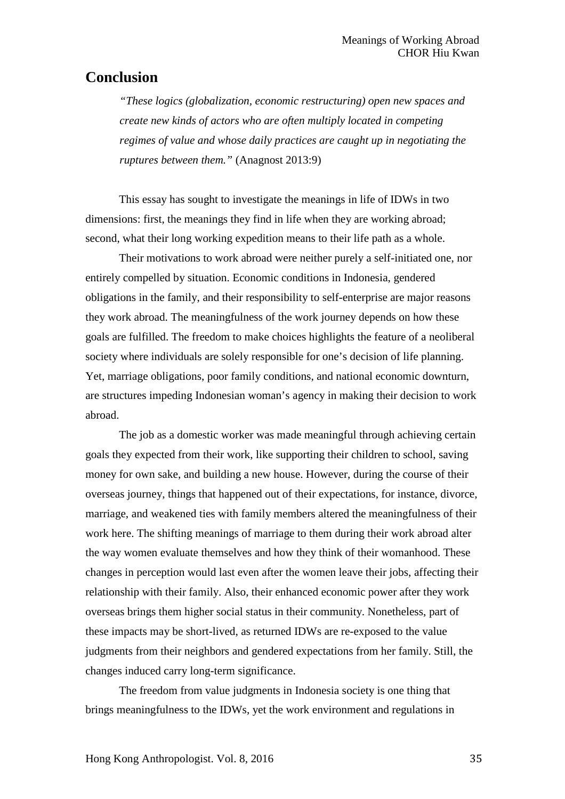# **Conclusion**

*"These logics (globalization, economic restructuring) open new spaces and create new kinds of actors who are often multiply located in competing regimes of value and whose daily practices are caught up in negotiating the ruptures between them."* (Anagnost 2013:9)

This essay has sought to investigate the meanings in life of IDWs in two dimensions: first, the meanings they find in life when they are working abroad; second, what their long working expedition means to their life path as a whole.

Their motivations to work abroad were neither purely a self-initiated one, nor entirely compelled by situation. Economic conditions in Indonesia, gendered obligations in the family, and their responsibility to self-enterprise are major reasons they work abroad. The meaningfulness of the work journey depends on how these goals are fulfilled. The freedom to make choices highlights the feature of a neoliberal society where individuals are solely responsible for one's decision of life planning. Yet, marriage obligations, poor family conditions, and national economic downturn, are structures impeding Indonesian woman's agency in making their decision to work abroad.

The job as a domestic worker was made meaningful through achieving certain goals they expected from their work, like supporting their children to school, saving money for own sake, and building a new house. However, during the course of their overseas journey, things that happened out of their expectations, for instance, divorce, marriage, and weakened ties with family members altered the meaningfulness of their work here. The shifting meanings of marriage to them during their work abroad alter the way women evaluate themselves and how they think of their womanhood. These changes in perception would last even after the women leave their jobs, affecting their relationship with their family. Also, their enhanced economic power after they work overseas brings them higher social status in their community. Nonetheless, part of these impacts may be short-lived, as returned IDWs are re-exposed to the value judgments from their neighbors and gendered expectations from her family. Still, the changes induced carry long-term significance.

The freedom from value judgments in Indonesia society is one thing that brings meaningfulness to the IDWs, yet the work environment and regulations in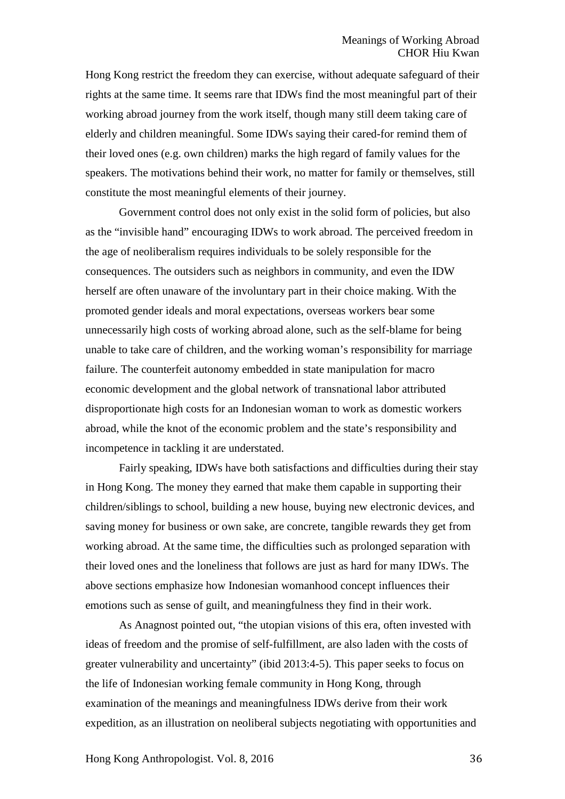Hong Kong restrict the freedom they can exercise, without adequate safeguard of their rights at the same time. It seems rare that IDWs find the most meaningful part of their working abroad journey from the work itself, though many still deem taking care of elderly and children meaningful. Some IDWs saying their cared-for remind them of their loved ones (e.g. own children) marks the high regard of family values for the speakers. The motivations behind their work, no matter for family or themselves, still constitute the most meaningful elements of their journey.

Government control does not only exist in the solid form of policies, but also as the "invisible hand" encouraging IDWs to work abroad. The perceived freedom in the age of neoliberalism requires individuals to be solely responsible for the consequences. The outsiders such as neighbors in community, and even the IDW herself are often unaware of the involuntary part in their choice making. With the promoted gender ideals and moral expectations, overseas workers bear some unnecessarily high costs of working abroad alone, such as the self-blame for being unable to take care of children, and the working woman's responsibility for marriage failure. The counterfeit autonomy embedded in state manipulation for macro economic development and the global network of transnational labor attributed disproportionate high costs for an Indonesian woman to work as domestic workers abroad, while the knot of the economic problem and the state's responsibility and incompetence in tackling it are understated.

Fairly speaking, IDWs have both satisfactions and difficulties during their stay in Hong Kong. The money they earned that make them capable in supporting their children/siblings to school, building a new house, buying new electronic devices, and saving money for business or own sake, are concrete, tangible rewards they get from working abroad. At the same time, the difficulties such as prolonged separation with their loved ones and the loneliness that follows are just as hard for many IDWs. The above sections emphasize how Indonesian womanhood concept influences their emotions such as sense of guilt, and meaningfulness they find in their work.

As Anagnost pointed out, "the utopian visions of this era, often invested with ideas of freedom and the promise of self-fulfillment, are also laden with the costs of greater vulnerability and uncertainty" (ibid 2013:4-5). This paper seeks to focus on the life of Indonesian working female community in Hong Kong, through examination of the meanings and meaningfulness IDWs derive from their work expedition, as an illustration on neoliberal subjects negotiating with opportunities and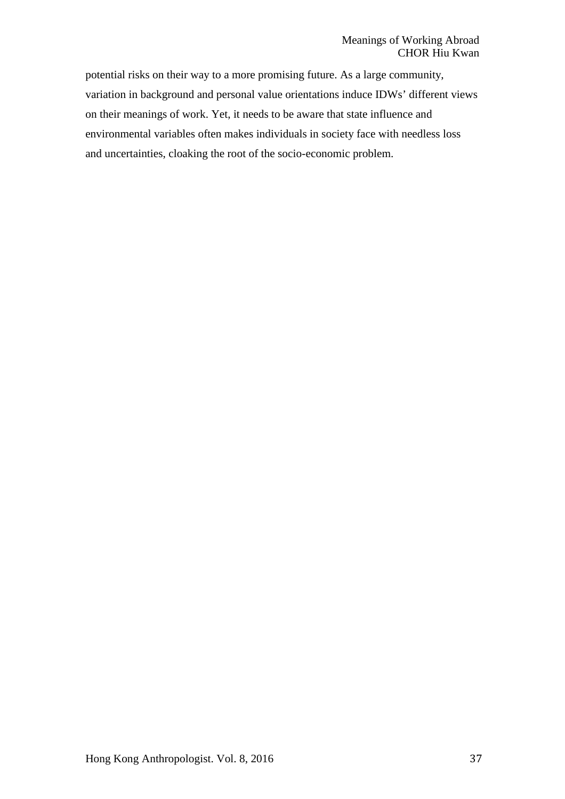potential risks on their way to a more promising future. As a large community, variation in background and personal value orientations induce IDWs' different views on their meanings of work. Yet, it needs to be aware that state influence and environmental variables often makes individuals in society face with needless loss and uncertainties, cloaking the root of the socio-economic problem.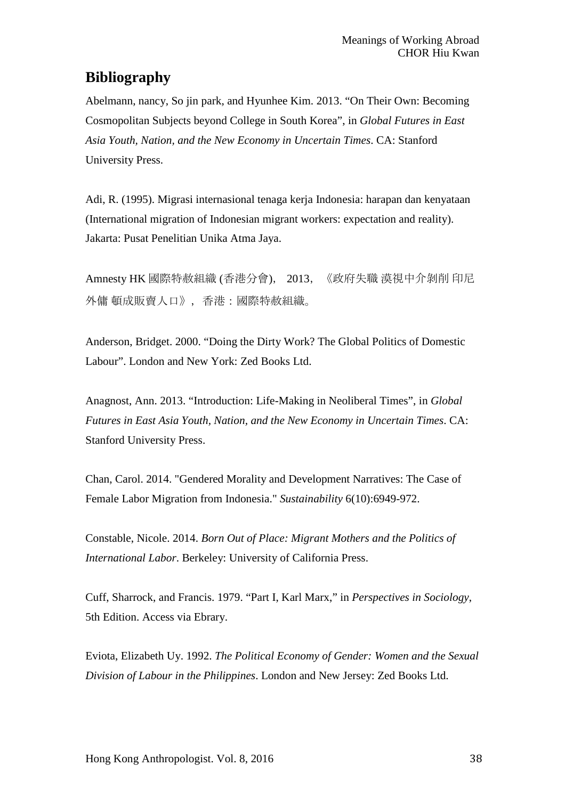# **Bibliography**

Abelmann, nancy, So jin park, and Hyunhee Kim. 2013. "On Their Own: Becoming Cosmopolitan Subjects beyond College in South Korea", in *Global Futures in East Asia Youth, Nation, and the New Economy in Uncertain Times*. CA: Stanford University Press.

Adi, R. (1995). Migrasi internasional tenaga kerja Indonesia: harapan dan kenyataan (International migration of Indonesian migrant workers: expectation and reality). Jakarta: Pusat Penelitian Unika Atma Jaya.

Amnesty HK 國際特赦組織 (香港分會), 2013,《政府失職 漠視中介剝削 印尼 外傭 頓成販賣人口》,香港:國際特赦組織。

Anderson, Bridget. 2000. "Doing the Dirty Work? The Global Politics of Domestic Labour". London and New York: Zed Books Ltd.

Anagnost, Ann. 2013. "Introduction: Life-Making in Neoliberal Times", in *Global Futures in East Asia Youth, Nation, and the New Economy in Uncertain Times*. CA: Stanford University Press.

Chan, Carol. 2014. "Gendered Morality and Development Narratives: The Case of Female Labor Migration from Indonesia." *Sustainability* 6(10):6949-972.

Constable, Nicole. 2014. *Born Out of Place: Migrant Mothers and the Politics of International Labor*. Berkeley: University of California Press.

Cuff, Sharrock, and Francis. 1979. "Part I, Karl Marx," in *Perspectives in Sociology*, 5th Edition. Access via Ebrary.

Eviota, Elizabeth Uy. 1992. *The Political Economy of Gender: Women and the Sexual Division of Labour in the Philippines*. London and New Jersey: Zed Books Ltd.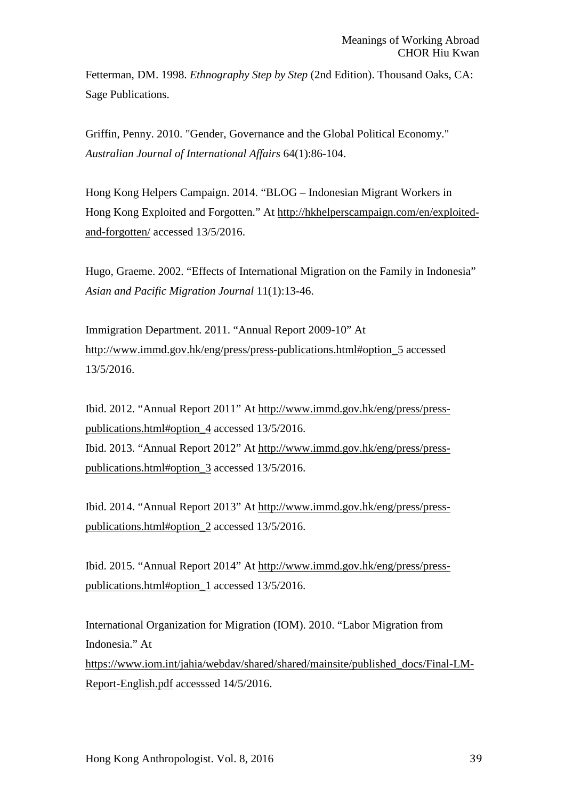Fetterman, DM. 1998. *Ethnography Step by Step* (2nd Edition). Thousand Oaks, CA: Sage Publications.

Griffin, Penny. 2010. "Gender, Governance and the Global Political Economy." *Australian Journal of International Affairs* 64(1):86-104.

Hong Kong Helpers Campaign. 2014. "BLOG – Indonesian Migrant Workers in Hong Kong Exploited and Forgotten." At [http://hkhelperscampaign.com/en/exploited](http://hkhelperscampaign.com/en/exploited-and-forgotten/)[and-forgotten/](http://hkhelperscampaign.com/en/exploited-and-forgotten/) accessed 13/5/2016.

Hugo, Graeme. 2002. "Effects of International Migration on the Family in Indonesia" *Asian and Pacific Migration Journal* 11(1):13-46.

Immigration Department. 2011. "Annual Report 2009-10" At [http://www.immd.gov.hk/eng/press/press-publications.html#option\\_5](http://www.immd.gov.hk/eng/press/press-publications.html#option_5) accessed 13/5/2016.

Ibid. 2012. "Annual Report 2011" At [http://www.immd.gov.hk/eng/press/press](http://www.immd.gov.hk/eng/press/press-publications.html#option_4)[publications.html#option\\_4](http://www.immd.gov.hk/eng/press/press-publications.html#option_4) accessed 13/5/2016. Ibid. 2013. "Annual Report 2012" At [http://www.immd.gov.hk/eng/press/press](http://www.immd.gov.hk/eng/press/press-publications.html#option_3)[publications.html#option\\_3](http://www.immd.gov.hk/eng/press/press-publications.html#option_3) accessed 13/5/2016.

Ibid. 2014. "Annual Report 2013" At [http://www.immd.gov.hk/eng/press/press](http://www.immd.gov.hk/eng/press/press-publications.html#option_2)[publications.html#option\\_2](http://www.immd.gov.hk/eng/press/press-publications.html#option_2) accessed 13/5/2016.

Ibid. 2015. "Annual Report 2014" At [http://www.immd.gov.hk/eng/press/press](http://www.immd.gov.hk/eng/press/press-publications.html#option_1)[publications.html#option\\_1](http://www.immd.gov.hk/eng/press/press-publications.html#option_1) accessed 13/5/2016.

International Organization for Migration (IOM). 2010. "Labor Migration from Indonesia." At

[https://www.iom.int/jahia/webdav/shared/shared/mainsite/published\\_docs/Final-LM-](https://www.iom.int/jahia/webdav/shared/shared/mainsite/published_docs/Final-LM-Report-English.pdf)[Report-English.pdf](https://www.iom.int/jahia/webdav/shared/shared/mainsite/published_docs/Final-LM-Report-English.pdf) accesssed 14/5/2016.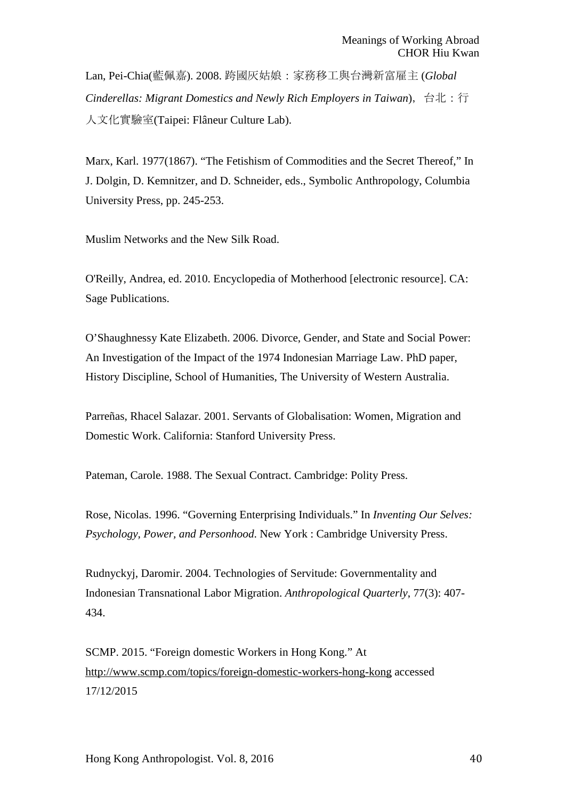Lan, Pei-Chia(藍佩嘉). 2008. 跨國灰姑娘:家務移工與台灣新富雇主 (*Global Cinderellas: Migrant Domestics and Newly Rich Employers in Taiwan*),台北:行 人文化實驗室(Taipei: Flâneur Culture Lab).

Marx, Karl. 1977(1867). "The Fetishism of Commodities and the Secret Thereof," In J. Dolgin, D. Kemnitzer, and D. Schneider, eds., Symbolic Anthropology, Columbia University Press, pp. 245-253.

Muslim Networks and the New Silk Road.

O'Reilly, Andrea, ed. 2010. Encyclopedia of Motherhood [electronic resource]. CA: Sage Publications.

O'Shaughnessy Kate Elizabeth. 2006. Divorce, Gender, and State and Social Power: An Investigation of the Impact of the 1974 Indonesian Marriage Law. PhD paper, History Discipline, School of Humanities, The University of Western Australia.

Parreñas, Rhacel Salazar. 2001. Servants of Globalisation: Women, Migration and Domestic Work. California: Stanford University Press.

Pateman, Carole. 1988. The Sexual Contract. Cambridge: Polity Press.

Rose, Nicolas. 1996. "Governing Enterprising Individuals." In *Inventing Our Selves: Psychology, Power, and Personhood*. New York : Cambridge University Press.

Rudnyckyj, Daromir. 2004. Technologies of Servitude: Governmentality and Indonesian Transnational Labor Migration. *Anthropological Quarterly*, 77(3): 407- 434.

SCMP. 2015. "Foreign domestic Workers in Hong Kong." At <http://www.scmp.com/topics/foreign-domestic-workers-hong-kong> accessed 17/12/2015